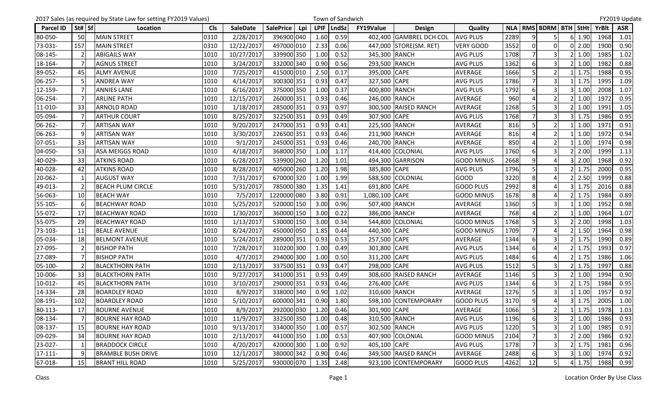|                  |                | 2017 Sales (as required by State Law for setting FY2019 Values) |            |                 |                  |     |             | Town of Sandwich |                |                         |                   |      |                |                         |   |               |              | FY2019 Update |
|------------------|----------------|-----------------------------------------------------------------|------------|-----------------|------------------|-----|-------------|------------------|----------------|-------------------------|-------------------|------|----------------|-------------------------|---|---------------|--------------|---------------|
| <b>Parcel ID</b> | St# Sf         | Location                                                        | <b>Cls</b> | <b>SaleDate</b> | <b>SalePrice</b> | Lpi | <b>LPIF</b> | LndSz            | FY19Value      | <b>Design</b>           | Quality           |      |                | NLA   RMS   BDRM   BTH  |   | StHt          | <b>YrBlt</b> | <b>ASR</b>    |
| 80-050-          | 50             | <b>MAIN STREET</b>                                              | 0310       | 2/28/2017       | 396900 040       |     | 1.60        | 0.59             |                | 402,400 GAMBREL DCH COL | <b>AVG PLUS</b>   | 2289 | q              |                         | 6 | 1.90          | 1968         | 1.01          |
| 73-031-          | 157            | <b>MAIN STREET</b>                                              | 0310       | 12/22/2017      | 497000 010       |     | 2.33        | 0.06             |                | 447,000 STORE(SM. RET)  | <b>VERY GOOD</b>  | 3552 | $\overline{0}$ | $\overline{0}$          |   | $0$ 2.00      | 1900         | 0.90          |
| 08-145-          |                | <b>ABIGAILS WAY</b>                                             | 1010       | 10/27/2017      | 339900 350       |     | 1.00        | 0.52             | 345,300 RANCH  |                         | <b>AVG PLUS</b>   | 1708 |                | $\overline{\mathbf{3}}$ |   | 1.00          | 1985         | 1.02          |
| 18-164-          | $\overline{7}$ | <b>AGNUS STREET</b>                                             | 1010       | 3/24/2017       | 332000 340       |     | 0.90        | 0.56             | 293,500 RANCH  |                         | <b>AVG PLUS</b>   | 1362 | 6              | $\overline{3}$          |   | 1.00          | 1982         | 0.88          |
| 89-052-          | 45             | <b>ALMY AVENUE</b>                                              | 1010       | 7/25/2017       | 415000 010       |     | 2.50        | 0.17             | 395,000 CAPE   |                         | AVERAGE           | 1666 |                | $\overline{2}$          |   | 1.75          | 1988         | 0.95          |
| 06-257-          |                | <b>ANDREA WAY</b>                                               | 1010       | 4/14/2017       | 300300 351       |     | 0.93        | 0.47             | 327,500 CAPE   |                         | <b>AVG PLUS</b>   | 1786 |                | $\overline{3}$          |   | 1.75          | 1995         | 1.09          |
| 12-159-          |                | <b>ANNIES LANE</b>                                              | 1010       | 6/16/2017       | 375000 350       |     | 1.00        | 0.37             | 400,800 RANCH  |                         | <b>AVG PLUS</b>   | 1792 | 6              | 3                       |   | 1.00          | 2008         | 1.07          |
| 06-254-          | $\overline{7}$ | <b>ARLINE PATH</b>                                              | 1010       | 12/15/2017      | 260000 351       |     | 0.93        | 0.46             | 246,000 RANCH  |                         | AVERAGE           | 960  |                | $\overline{2}$          |   | 1.00          | 1972         | 0.95          |
| 11-010-          | 33             | <b>ARNOLD ROAD</b>                                              | 1010       | 1/18/2017       | 285000 351       |     | 0.93        | 0.97             |                | 300,500 RAISED RANCH    | <b>AVERAGE</b>    | 1268 |                | 3                       |   | 1.00          | 1991         | 1.05          |
| 05-094-          |                | <b>ARTHUR COURT</b>                                             | 1010       | 8/25/2017       | 322500 351       |     | 0.93        | 0.49             | 307,900 CAPE   |                         | <b>AVG PLUS</b>   | 1768 |                | 3                       |   | 1.75          | 1986         | 0.95          |
| 06-262-          |                | <b>ARTISAN WAY</b>                                              | 1010       | 9/20/2017       | 247000 351       |     | 0.93        | 0.41             | 225,500 RANCH  |                         | AVERAGE           | 816  | 5              | $\overline{2}$          |   | 1.00          | 1971         | 0.91          |
| 06-263-          | q              | <b>ARTISAN WAY</b>                                              | 1010       | 3/30/2017       | 226500 351       |     | 0.93        | 0.46             | 211,900 RANCH  |                         | AVERAGE           | 816  |                | $\overline{2}$          |   | 1.00          | 1972         | 0.94          |
| 07-051-          | 33             | <b>ARTISAN WAY</b>                                              | 1010       | 9/1/2017        | 245000 351       |     | 0.93        | 0.46             | 240,700 RANCH  |                         | AVERAGE           | 850  |                | 2                       |   | 1.00          | 1974         | 0.98          |
| 04-050-          | 53             | <b>ASA MEIGGS ROAD</b>                                          | 1010       | 4/18/2017       | 368000 350       |     | 1.00        | 1.17             |                | 414,400 COLONIAL        | <b>AVG PLUS</b>   | 1760 | 6              | 3                       |   | 2.00          | 1999         | 1.13          |
| 40-029-          | 33             | <b>ATKINS ROAD</b>                                              | 1010       | 6/28/2017       | 539900 260       |     | 1.20        | 1.01             |                | 494,300 GARRISON        | <b>GOOD MINUS</b> | 2668 | $\overline{9}$ |                         |   | 2.00          | 1968         | 0.92          |
| 40-028-          | 42             | <b>ATKINS ROAD</b>                                              | 1010       | 8/28/2017       | 405000 260       |     | 1.20        | 1.98             | 385,800 CAPE   |                         | <b>AVG PLUS</b>   | 1796 |                |                         |   | 1.75          | 2000         | 0.95          |
| 20-062-          |                | <b>AUGUST WAY</b>                                               | 1010       | 7/31/2017       | 670000 320       |     | 1.00        | 1.99             |                | 588,500 COLONIAL        | <b>GOOD</b>       | 3220 | 8              |                         |   | 2.50          | 1999         | 0.88          |
| 49-013-          |                | <b>BEACH PLUM CIRCLE</b>                                        | 1010       | 5/31/2017       | 785000 380       |     | 1.35        | 1.41             | 691,800 CAPE   |                         | <b>GOOD PLUS</b>  | 2992 | 8              | $\Delta$                |   | 1.75          | 2016         | 0.88          |
| 56-063-          | 10             | <b>BEACH WAY</b>                                                | 1010       | 7/5/2017        | 1220000 080      |     | 3.80        | 0.91             | 1,080,100 CAPE |                         | <b>GOOD MINUS</b> | 1678 | 8              | Δ                       |   | 1.75          | 1984         | 0.89          |
| 55-105-          |                | <b>BEACHWAY ROAD</b>                                            | 1010       | 5/25/2017       | 520000 150       |     | 3.00        | 0.96             | 507,400 RANCH  |                         | AVERAGE           | 1360 |                |                         |   | 1.00          | 1952         | 0.98          |
| 55-072-          | 17             | <b>BEACHWAY ROAD</b>                                            | 1010       | 1/30/2017       | 360000 150       |     | 3.00        | 0.22             | 386,000 RANCH  |                         | AVERAGE           | 768  |                | $\overline{2}$          |   | 1.00          | 1964         | 1.07          |
| 55-075-          | 29             | <b>BEACHWAY ROAD</b>                                            | 1010       | 1/13/2017       | 530000 150       |     | 3.00        | 0.34             | 544,800        | COLONIAL                | <b>GOOD MINUS</b> | 1768 |                | $\overline{3}$          |   | 2.00          | 1998         | 1.03          |
| 73-103-          | 11             | <b>BEALE AVENUE</b>                                             | 1010       | 8/24/2017       | 450000 050       |     | 1.85        | 0.44             | 440,300 CAPE   |                         | <b>GOOD MINUS</b> | 1709 | $\overline{7}$ |                         |   | 1.50          | 1964         | 0.98          |
| 05-034-          | 18             | <b>BELMONT AVENUE</b>                                           | 1010       | 5/24/2017       | 289000 351       |     | 0.93        | 0.53             | 257,500        | <b>CAPE</b>             | AVERAGE           | 1344 |                |                         |   | 1.75          | 1990         | 0.89          |
| 27-095-          |                | <b>BISHOP PATH</b>                                              | 1010       | 7/28/2017       | 310200 300       |     | 1.00        | 0.49             | 301,800        | <b>CAPE</b>             | <b>AVG PLUS</b>   | 1344 | 6              | Δ                       |   | 1.75          | 1993         | 0.97          |
| 27-089-          |                | <b>BISHOP PATH</b>                                              | 1010       | 4/7/2017        | 294000 300       |     | 1.00        | 0.50             | 311,200 CAPE   |                         | <b>AVG PLUS</b>   | 1484 | 6              | Δ                       |   | 1.75          | 1986         | 1.06          |
| 05-100-          | $\mathcal{P}$  | <b>BLACKTHORN PATH</b>                                          | 1010       | 2/13/2017       | 337500 351       |     | 0.93        | 0.47             | 298,000 CAPE   |                         | <b>AVG PLUS</b>   | 1512 | 5              | $\overline{3}$          |   | 1.75          | 1997         | 0.88          |
| 10-006-          | 33             | <b>BLACKTHORN PATH</b>                                          | 1010       | 9/27/2017       | 341000 351       |     | 0.93        | 0.49             |                | 308,600 RAISED RANCH    | <b>AVERAGE</b>    | 1146 |                | $\mathbf{3}$            |   | 1.00          | 1994         | 0.90          |
| 10-012-          | 45             | <b>BLACKTHORN PATH</b>                                          | 1010       | 3/10/2017       | 290000 351       |     | 0.93        | 0.46             | 276,400 CAPE   |                         | <b>AVG PLUS</b>   | 1344 | 6              | 3                       |   | 1.75          | 1984         | 0.95          |
| 14-334-          | 28             | <b>BOARDLEY ROAD</b>                                            | 1010       | 8/9/2017        | 338000 340       |     | 0.90        | 1.02             | 310,600 RANCH  |                         | <b>AVERAGE</b>    | 1276 | 5              | 3                       |   | 1.00          | 1957         | 0.92          |
| 08-191-          | 102            | <b>BOARDLEY ROAD</b>                                            | 1010       | 5/10/2017       | 600000 341       |     | 0.90        | 1.80             |                | 598,100 CONTEMPORARY    | <b>GOOD PLUS</b>  | 3170 | 9 <sub>l</sub> | $\overline{4}$          |   | $3 \mid 1.75$ | 2005         | 1.00          |
| 80-113-          | 17             | <b>BOURNE AVENUE</b>                                            | 1010       | 8/9/2017        | 292000 030       |     | 1.20        | 0.46             | 301,900 CAPE   |                         | AVERAGE           | 1066 | 5              | $\overline{2}$          |   | 1.75          | 1978         | 1.03          |
| 08-134-          |                | <b>BOURNE HAY ROAD</b>                                          | 1010       | 11/9/2017       | 332500 350       |     | 1.00        | 0.48             | 310,500 RANCH  |                         | <b>AVG PLUS</b>   | 1196 | 6              | $\overline{\mathbf{3}}$ |   | 1.00          | 1986         | 0.93          |
| 08-137-          | 15             | <b>BOURNE HAY ROAD</b>                                          | 1010       | 9/13/2017       | 334000 350       |     | 1.00        | 0.57             | 302,500 RANCH  |                         | <b>AVG PLUS</b>   | 1220 |                | $\overline{3}$          |   | 1.00          | 1985         | 0.91          |
| 09-029-          | 34             | <b>BOURNE HAY ROAD</b>                                          | 1010       | 2/13/2017       | 441000 350       |     | 1.00        | 0.53             |                | 407,900 COLONIAL        | <b>GOOD MINUS</b> | 2104 |                | 3 <sup>1</sup>          |   | 2.00          | 1986         | 0.92          |
| 23-027-          |                | <b>BRADDOCK CIRCLE</b>                                          | 1010       | 4/20/2017       | 420000 300       |     | 1.00        | 0.92             | 405,100 CAPE   |                         | <b>AVG PLUS</b>   | 1778 |                | 3                       |   | 1.75          | 1981         | 0.96          |
| $17 - 111 -$     | q              | <b>BRAMBLE BUSH DRIVE</b>                                       | 1010       | 12/1/2017       | 380000 342       |     | 0.90        | 0.46             |                | 349,500 RAISED RANCH    | AVERAGE           | 2488 |                | 3                       |   | 1.00          | 1974         | 0.92          |
| 67-018-          | 15             | <b>BRANT HILL ROAD</b>                                          | 1010       | 5/25/2017       | 930000 070       |     | 1.35        | 2.48             |                | 923,100 CONTEMPORARY    | <b>GOOD PLUS</b>  | 4262 | 12             | 5 <sub>l</sub>          |   | 4 1.75        | 1988         | 0.99          |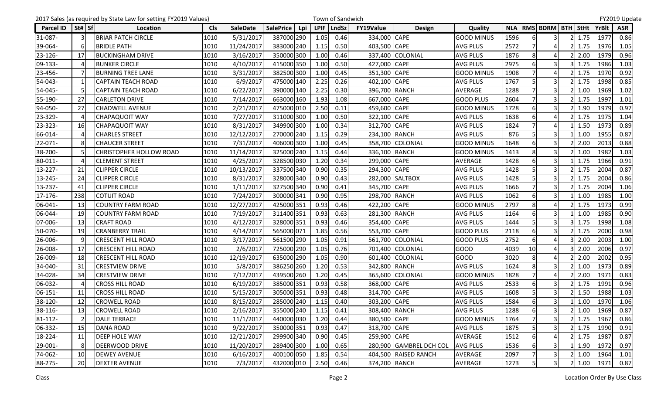|                  |                 | 2017 Sales (as required by State Law for setting FY2019 Values) |            |                 |                         |             | Town of Sandwich |                  |                         |                   |      |          |                               |               |       | FY2019 Update |
|------------------|-----------------|-----------------------------------------------------------------|------------|-----------------|-------------------------|-------------|------------------|------------------|-------------------------|-------------------|------|----------|-------------------------------|---------------|-------|---------------|
| <b>Parcel ID</b> | St#   Sf        | Location                                                        | <b>Cls</b> | <b>SaleDate</b> | <b>SalePrice</b><br>Lpi | <b>LPIF</b> | <b>LndSz</b>     | <b>FY19Value</b> | <b>Design</b>           | Quality           |      |          | NLA   RMS   BDRM   BTH   StHt |               | YrBlt | <b>ASR</b>    |
| 31-087-          |                 | <b>BRIAR PATCH CIRCLE</b>                                       | 1010       | 5/31/2017       | 387000 290              | 1.05        | 0.46             | 334,000 CAPE     |                         | <b>GOOD MINUS</b> | 1596 |          | 3                             | 1.75          | 1977  | 0.86          |
| 39-064-          |                 | <b>BRIDLE PATH</b>                                              | 1010       | 11/24/2017      | 383000 240              | 1.15        | 0.50             | 403,500 CAPE     |                         | <b>AVG PLUS</b>   | 2572 |          | 4                             | 1.75          | 1976  | 1.05          |
| 23-126-          | 17              | <b>BUCKINGHAM DRIVE</b>                                         | 1010       | 3/16/2017       | 350000 300              | 1.00        | 0.46             |                  | 337,400 COLONIAL        | <b>AVG PLUS</b>   | 1876 | 8        | 4                             | 2.00          | 1979  | 0.96          |
| 09-133-          |                 | <b>BUNKER CIRCLE</b>                                            | 1010       | 4/10/2017       | 415000 350              | 1.00        | 0.50             | 427,000 CAPE     |                         | <b>AVG PLUS</b>   | 2975 |          |                               | 1.75          | 1986  | 1.03          |
| 23-456-          |                 | <b>BURNING TREE LANE</b>                                        | 1010       | 3/31/2017       | 382500 300              | 1.00        | 0.45             | 351,300 CAPE     |                         | <b>GOOD MINUS</b> | 1908 |          | Δ                             | 1.75          | 1970  | 0.92          |
| 54-043-          |                 | <b>CAPTAIN TEACH ROAD</b>                                       | 1010       | 6/9/2017        | 475000 140              | 2.25        | 0.26             | 402,100 CAPE     |                         | <b>AVG PLUS</b>   | 1767 |          | $\mathbf{a}$                  | 1.75          | 1998  | 0.85          |
| 54-045-          |                 | <b>CAPTAIN TEACH ROAD</b>                                       | 1010       | 6/22/2017       | 390000 140              | 2.25        | 0.30             | 396,700 RANCH    |                         | AVERAGE           | 1288 |          | $\overline{3}$                | 1.00          | 1969  | 1.02          |
| 55-190-          | 27              | <b>CARLETON DRIVE</b>                                           | 1010       | 7/14/2017       | 663000 160              | 1.93        | 1.08             | 667,000 CAPE     |                         | <b>GOOD PLUS</b>  | 2604 |          |                               | 1.75          | 1997  | 1.01          |
| 94-050-          | 27              | <b>CHADWELL AVENUE</b>                                          | 1010       | 2/21/2017       | 475000 010              | 2.50        | 0.11             | 459,600 CAPE     |                         | <b>GOOD MINUS</b> | 1728 | 61       | 3                             | 1.90          | 1979  | 0.97          |
| 23-329-          |                 | <b>CHAPAQUOIT WAY</b>                                           | 1010       | 7/27/2017       | 311000 300              | 1.00        | 0.50             | 322,100          | <b>CAPE</b>             | <b>AVG PLUS</b>   | 1638 |          | $\Delta$                      | 1.75          | 1975  | 1.04          |
| 23-323-          | <b>16</b>       | <b>CHAPAQUOIT WAY</b>                                           | 1010       | 8/31/2017       | 349900 300              | 1.00        | 0.34             | 312,700 CAPE     |                         | <b>AVG PLUS</b>   | 1824 |          | Δ                             | 1.50          | 1973  | 0.89          |
| 66-014-          |                 | <b>CHARLES STREET</b>                                           | 1010       | 12/12/2017      | 270000 240              | 1.15        | 0.29             | 234,100 RANCH    |                         | <b>AVG PLUS</b>   | 876  |          |                               | 1.00          | 1955  | 0.87          |
| 22-071-          |                 | <b>CHAUCER STREET</b>                                           | 1010       | 7/31/2017       | 406000 300              | 1.00        | 0.45             |                  | 358,700 COLONIAL        | <b>GOOD MINUS</b> | 1648 | 6        | $\overline{\mathbf{3}}$       | 2.00          | 2013  | 0.88          |
| 38-200-          |                 | <b>CHRISTOPHER HOLLOW ROAD</b>                                  | 1010       | 11/14/2017      | 325000 240              | 1.15        | 0.44             | 336,100 RANCH    |                         | <b>GOOD MINUS</b> | 1413 | 8        | $\overline{3}$                | 1.00          | 1982  | 1.03          |
| 80-011-          |                 | <b>CLEMENT STREET</b>                                           | 1010       | 4/25/2017       | 328500 030              | 1.20        | 0.34             | 299,000 CAPE     |                         | <b>AVERAGE</b>    | 1428 | 6        | $\overline{\mathbf{3}}$       | 1.75          | 1966  | 0.91          |
| 13-227-          | 21              | <b>CLIPPER CIRCLE</b>                                           | 1010       | 10/13/2017      | 337500 340              | 0.90        | 0.35             | 294,300 CAPE     |                         | <b>AVG PLUS</b>   | 1428 |          | 3                             | 1.75          | 2004  | 0.87          |
| 13-245-          | 24              | <b>CLIPPER CIRCLE</b>                                           | 1010       | 8/31/2017       | 328000 340              | 0.90        | 0.43             |                  | 282,000 SALTBOX         | <b>AVG PLUS</b>   | 1428 |          | 3                             | 1.75          | 2004  | 0.86          |
| 13-237-          | 41              | <b>CLIPPER CIRCLE</b>                                           | 1010       | 1/11/2017       | 327500 340              | 0.90        | 0.41             | 345,700 CAPE     |                         | <b>AVG PLUS</b>   | 1666 |          | $\overline{3}$                | 1.75          | 2004  | 1.06          |
| 17-176-          | 238             | <b>COTUIT ROAD</b>                                              | 1010       | 7/24/2017       | 300000 341              | 0.90        | 0.95             | 298,700 RANCH    |                         | <b>AVG PLUS</b>   | 1062 | 6        | $\overline{3}$                | 1.00          | 1985  | 1.00          |
| 06-041-          | 13              | <b>COUNTRY FARM ROAD</b>                                        | 1010       | 12/27/2017      | 425000 351              | 0.93        | 0.46             | 422,200 CAPE     |                         | <b>GOOD MINUS</b> | 2797 |          |                               | 1.75          | 1973  | 0.99          |
| 06-044-          | 19              | <b>COUNTRY FARM ROAD</b>                                        | 1010       | 7/19/2017       | 311400 351              | 0.93        | 0.63             | 281,300 RANCH    |                         | <b>AVG PLUS</b>   | 1164 |          | 3                             | 1.00          | 1985  | 0.90          |
| 07-006-          | 13              | <b>CRAFT ROAD</b>                                               | 1010       | 4/12/2017       | 328000 351              | 0.93        | 0.46             | 354,400 CAPE     |                         | <b>AVG PLUS</b>   | 1444 |          | 3                             | 1.75          | 1998  | 1.08          |
| 50-070-          | 19              | <b>CRANBERRY TRAIL</b>                                          | 1010       | 4/14/2017       | 565000 071              | 1.85        | 0.56             | 553,700 CAPE     |                         | <b>GOOD PLUS</b>  | 2118 | 6        | 3                             | 1.75          | 2000  | 0.98          |
| 26-006-          |                 | <b>CRESCENT HILL ROAD</b>                                       | 1010       | 3/17/2017       | 561500 290              | 1.05        | 0.91             |                  | 561,700 COLONIAL        | <b>GOOD PLUS</b>  | 2752 |          |                               | 2.00          | 2003  | 1.00          |
| 26-008-          | 17              | <b>CRESCENT HILL ROAD</b>                                       | 1010       | 2/6/2017        | 725000 290              | 1.05        | 0.76             |                  | 701,400 COLONIAL        | <b>GOOD</b>       | 4039 | 10       | Δ                             | 2.00          | 2006  | 0.97          |
| 26-009-          | 18              | <b>CRESCENT HILL ROAD</b>                                       | 1010       | 12/19/2017      | 635000 290              | 1.05        | 0.90             |                  | 601,400 COLONIAL        | <b>GOOD</b>       | 3020 | 8        | 4                             | 2.00          | 2002  | 0.95          |
| 34-040-          | 31              | <b>CRESTVIEW DRIVE</b>                                          | 1010       | 5/8/2017        | 386250 260              | 1.20        | 0.53             | 342,800 RANCH    |                         | <b>AVG PLUS</b>   | 1624 | 8        | 3                             | 1.00          | 1973  | 0.89          |
| 34-028-          | 34              | <b>CRESTVIEW DRIVE</b>                                          | 1010       | 7/12/2017       | 439500 260              | 1.20        | 0.45             |                  | 365,600 COLONIAL        | <b>GOOD MINUS</b> | 1828 |          | 4                             | 2.00          | 1971  | 0.83          |
| 06-032-          |                 | <b>CROSS HILL ROAD</b>                                          | 1010       | 6/19/2017       | 385000 351              | 0.93        | 0.58             | 368,000 CAPE     |                         | <b>AVG PLUS</b>   | 2533 | 6        | 3                             | 1.75          | 1991  | 0.96          |
| 06-151-          | 11              | <b>CROSS HILL ROAD</b>                                          | 1010       | 5/15/2017       | 305000 351              | 0.93        | 0.48             | 314,700 CAPE     |                         | <b>AVG PLUS</b>   | 1608 | 5        | $\overline{3}$                | 1.50          | 1988  | 1.03          |
| 38-120-          | 12 <sup>1</sup> | <b>CROWELL ROAD</b>                                             | 1010       | 8/15/2017       | 285000 240              | 1.15        | 0.40             | 303,200 CAPE     |                         | <b>AVG PLUS</b>   | 1584 | $6 \mid$ | $\overline{3}$                | 1.00          | 1970  | 1.06          |
| 38-116-          | 13              | <b>CROWELL ROAD</b>                                             | 1010       | 2/16/2017       | 355000 240              | 1.15        | 0.41             | 308,400 RANCH    |                         | <b>AVG PLUS</b>   | 1288 | 6        | $\overline{\mathbf{3}}$       | 1.00          | 1969  | 0.87          |
| 81-112-          |                 | <b>DALE TERRACE</b>                                             | 1010       | 11/1/2017       | 440000 030              | 1.20        | 0.44             | 380,500 CAPE     |                         | <b>GOOD MINUS</b> | 1764 |          | 3                             | 1.75          | 1967  | 0.86          |
| 06-332-          | 15              | <b>DANA ROAD</b>                                                | 1010       | 9/22/2017       | 350000 351              | 0.93        | 0.47             | 318,700 CAPE     |                         | <b>AVG PLUS</b>   | 1875 | 5        | $\overline{\mathbf{3}}$       | 1.75          | 1990  | 0.91          |
| 18-224-          | 11              | <b>DEEP HOLE WAY</b>                                            | 1010       | 12/21/2017      | 299900 340              | 0.90        | 0.45             | 259,900 CAPE     |                         | AVERAGE           | 1512 | 6        |                               | 1.75          | 1987  | 0.87          |
| 29-001-          |                 | <b>DEERWOOD DRIVE</b>                                           | 1010       | 11/20/2017      | 289400 300              | 1.00        | 0.65             |                  | 280,900 GAMBREL DCH COL | <b>AVG PLUS</b>   | 1536 |          | 3                             | 1.90          | 1972  | 0.97          |
| 74-062-          | 10              | <b>DEWEY AVENUE</b>                                             | 1010       | 6/16/2017       | 400100 050              | 1.85        | 0.54             |                  | 404,500 RAISED RANCH    | AVERAGE           | 2097 |          | $\overline{3}$                | 1.00          | 1964  | 1.01          |
| 88-275-          | 20              | <b>DEXTER AVENUE</b>                                            | 1010       | 7/3/2017        | 432000 010              | 2.50        | 0.46             | 374,200 RANCH    |                         | AVERAGE           | 1273 | 5        | $\overline{\mathbf{3}}$       | $2 \mid 1.00$ | 1971  | 0.87          |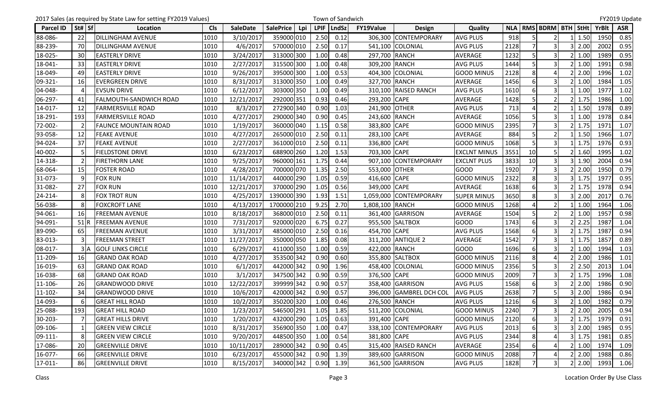|                  |        | 2017 Sales (as required by State Law for setting FY2019 Values) |            |                 |                                |             | Town of Sandwich |                  |                         |                     |      |                |                               |      |       | FY2019 Update |
|------------------|--------|-----------------------------------------------------------------|------------|-----------------|--------------------------------|-------------|------------------|------------------|-------------------------|---------------------|------|----------------|-------------------------------|------|-------|---------------|
| <b>Parcel ID</b> | St# Sf | Location                                                        | <b>Cls</b> | <b>SaleDate</b> | <b>SalePrice</b><br><b>Lpi</b> | <b>LPIF</b> | <b>LndSz</b>     | <b>FY19Value</b> | <b>Design</b>           | Quality             |      |                | NLA   RMS   BDRM   BTH   StHt |      | YrBlt | <b>ASR</b>    |
| 88-086-          | 22     | <b>DILLINGHAM AVENUE</b>                                        | 1010       | 3/10/2017       | 359000 010                     | 2.50        | 0.12             |                  | 306,300 CONTEMPORARY    | <b>AVG PLUS</b>     | 918  |                | 2                             | 1.50 | 1950  | 0.85          |
| 88-239-          | 70     | <b>DILLINGHAM AVENUE</b>                                        | 1010       | 4/6/2017        | 570000 010                     | 2.50        | 0.17             |                  | 541,100 COLONIAL        | <b>AVG PLUS</b>     | 2128 |                | 3                             | 2.00 | 2002  | 0.95          |
| 18-025-          | 30     | <b>EASTERLY DRIVE</b>                                           | 1010       | 3/24/2017       | 313000 300                     | 1.00        | 0.48             | 297,700 RANCH    |                         | AVERAGE             | 1232 | 5              | 3                             | 1.00 | 1989  | 0.95          |
| 18-041-          | 33     | <b>EASTERLY DRIVE</b>                                           | 1010       | 2/27/2017       | 315500 300                     | 1.00        | 0.48             | 309,200 RANCH    |                         | <b>AVG PLUS</b>     | 1444 |                |                               | 1.00 | 1991  | 0.98          |
| 18-049-          | 49     | <b>EASTERLY DRIVE</b>                                           | 1010       | 9/26/2017       | 395000 300                     | 1.00        | 0.53             |                  | 404,300 COLONIAL        | <b>GOOD MINUS</b>   | 2128 | 8              | Δ                             | 2.00 | 1996  | 1.02          |
| 09-321-          | 16     | <b>EVERGREEN DRIVE</b>                                          | 1010       | 8/31/2017       | 313000 350                     | 1.00        | 0.49             | 327,700 RANCH    |                         | AVERAGE             | 1456 | 6              | 3                             | 1.00 | 1984  | 1.05          |
| 04-048-          |        | <b>EVSUN DRIVE</b>                                              | 1010       | 6/12/2017       | 303000 350                     | 1.00        | 0.49             |                  | 310,100 RAISED RANCH    | <b>AVG PLUS</b>     | 1610 | $6 \mid$       | $\overline{3}$                | 1.00 | 1977  | 1.02          |
| 06-297-          | 41     | <b>FALMOUTH-SANDWICH ROAD</b>                                   | 1010       | 12/21/2017      | 292000 351                     | 0.93        | 0.46             | 293,200 CAPE     |                         | AVERAGE             | 1428 |                | $\overline{2}$                | 1.75 | 1986  | 1.00          |
| 14-017-          | 12     | <b>FARMERSVILLE ROAD</b>                                        | 1010       | 8/3/2017        | 272900 340                     | 0.90        | 1.03             | 241,900 OTHER    |                         | <b>AVG PLUS</b>     | 713  |                | $\overline{2}$                | 1.50 | 1978  | 0.89          |
| 18-291-          | 193    | <b>FARMERSVILLE ROAD</b>                                        | 1010       | 4/27/2017       | 290000 340                     | 0.90        | 0.45             | 243,600 RANCH    |                         | AVERAGE             | 1056 |                | $\overline{3}$                | 1.00 | 1978  | 0.84          |
| 72-002-          |        | <b>FAUNCE MOUNTAIN ROAD</b>                                     | 1010       | 1/19/2017       | 360000 040                     | 1.15        | 0.58             | 383,800 CAPE     |                         | <b>GOOD MINUS</b>   | 2395 |                | 3                             | 1.75 | 1971  | 1.07          |
| 93-058-          | 12     | <b>FEAKE AVENUE</b>                                             | 1010       | 4/27/2017       | 265000 010                     | 2.50        | 0.11             | 283,100 CAPE     |                         | <b>AVERAGE</b>      | 884  |                | $\overline{2}$                | 1.50 | 1966  | 1.07          |
| 94-024-          | 37     | <b>FEAKE AVENUE</b>                                             | 1010       | 2/27/2017       | 361000 010                     | 2.50        | 0.11             | 336,800 CAPE     |                         | <b>GOOD MINUS</b>   | 1068 |                | 3                             | 1.75 | 1976  | 0.93          |
| 40-002-          |        | <b>FIELDSTONE DRIVE</b>                                         | 1010       | 6/23/2017       | 688900 260                     | 1.20        | 1.53             | 703,300 CAPE     |                         | <b>EXCLNT MINUS</b> | 3551 | 10             | 5                             | 1.60 | 1995  | 1.02          |
| 14-318-          |        | <b>FIRETHORN LANE</b>                                           | 1010       | 9/25/2017       | 960000 161                     | 1.75        | 0.44             |                  | 907,100 CONTEMPORARY    | <b>EXCLNT PLUS</b>  | 3833 | 10             | 3                             | 1.90 | 2004  | 0.94          |
| 68-064-          | 15     | <b>FOSTER ROAD</b>                                              | 1010       | 4/28/2017       | 700000 070                     | 1.35        | 2.50             | 553,000 OTHER    |                         | <b>GOOD</b>         | 1920 |                | 3                             | 2.00 | 1950  | 0.79          |
| 31-073-          |        | <b>FOX RUN</b>                                                  | 1010       | 11/14/2017      | 440000 290                     | 1.05        | 0.59             | 416,600 CAPE     |                         | <b>GOOD MINUS</b>   | 2322 | 8              | 3                             | 1.75 | 1977  | 0.95          |
| 31-082-          | 27     | <b>FOX RUN</b>                                                  | 1010       | 12/21/2017      | 370000 290                     | 1.05        | 0.56             | 349,000 CAPE     |                         | <b>AVERAGE</b>      | 1638 | 6              | 3                             | 1.75 | 1978  | 0.94          |
| 24-214-          |        | FOX TROT RUN                                                    | 1010       | 4/25/2017       | 1390000 390                    | 1.93        | 1.51             |                  | 1,059,000 CONTEMPORARY  | <b>SUPER MINUS</b>  | 3650 | 8              | 3                             | 2.00 | 2017  | 0.76          |
| 56-038-          |        | <b>FOXCROFT LANE</b>                                            | 1010       | 4/13/2017       | 1700000 210                    | 9.25        | 2.70             | 1,808,100 RANCH  |                         | <b>GOOD MINUS</b>   | 1268 |                | 2 <sub>l</sub>                | 1.00 | 1964  | 1.06          |
| 94-061-          | 16     | <b>FREEMAN AVENUE</b>                                           | 1010       | 8/18/2017       | 368000 010                     | 2.50        | 0.11             |                  | 361,400 GARRISON        | AVERAGE             | 1504 |                | $\mathfrak{p}$                | 1.00 | 1957  | 0.98          |
| 94-091-          | 51 IR  | <b>FREEMAN AVENUE</b>                                           | 1010       | 7/31/2017       | 920000 020                     | 6.75        | 0.27             |                  | 955,500 SALTBOX         | <b>GOOD</b>         | 1743 | 6              | 3                             | 2.25 | 1987  | 1.04          |
| 89-090-          | 65     | <b>FREEMAN AVENUE</b>                                           | 1010       | 3/31/2017       | 485000 010                     | 2.50        | 0.16             | 454,700 CAPE     |                         | <b>AVG PLUS</b>     | 1568 |                | 3                             | 1.75 | 1987  | 0.94          |
| 83-013-          |        | <b>FREEMAN STREET</b>                                           | 1010       | 11/27/2017      | 350000 050                     | 1.85        | 0.08             |                  | 311,200 ANTIQUE 2       | <b>AVERAGE</b>      | 1542 |                | 3                             | 1.75 | 1857  | 0.89          |
| 08-017-          | 3A     | <b>GOLF LINKS CIRCLE</b>                                        | 1010       | 6/29/2017       | 411000 350                     | 1.00        | 0.59             | 422,000 RANCH    |                         | <b>GOOD</b>         | 1696 |                | 3                             | 1.00 | 1994  | 1.03          |
| 11-209-          | 16     | <b>GRAND OAK ROAD</b>                                           | 1010       | 4/27/2017       | 353500 342                     | 0.90        | 0.60             |                  | 355,800 SALTBOX         | <b>GOOD MINUS</b>   | 2116 | 8              | Δ                             | 2.00 | 1986  | 1.01          |
| 16-019-          | 63     | <b>GRAND OAK ROAD</b>                                           | 1010       | 6/1/2017        | 442000 342                     | 0.90        | 1.96             |                  | 458,400 COLONIAL        | <b>GOOD MINUS</b>   | 2356 |                |                               | 2.50 | 2013  | 1.04          |
| 16-038-          | 68     | <b>GRAND OAK ROAD</b>                                           | 1010       | 3/1/2017        | 347500 342                     | 0.90        | 0.59             | 376,500 CAPE     |                         | <b>GOOD MINUS</b>   | 2009 |                | $\overline{3}$                | 1.75 | 1996  | 1.08          |
| 11-106-          | 26     | <b>GRANDWOOD DRIVE</b>                                          | 1010       | 12/22/2017      | 399999 342                     | 0.90        | 0.57             |                  | 358,400 GARRISON        | <b>AVG PLUS</b>     | 1568 | 6              | 3                             | 2.00 | 1986  | 0.90          |
| 11-102-          | 34     | <b>GRANDWOOD DRIVE</b>                                          | 1010       | 10/6/2017       | 420000 342                     | 0.90        | 0.57             |                  | 396,000 GAMBREL DCH COL | <b>AVG PLUS</b>     | 2638 |                |                               | 2.00 | 1986  | 0.94          |
| 14-093-          | 61     | <b>GREAT HILL ROAD</b>                                          | 1010       | 10/2/2017       | 350200 320                     | 1.00        | 0.46             | 276,500 RANCH    |                         | <b>AVG PLUS</b>     | 1216 | 6 <sup>1</sup> | 3                             | 1.00 | 1982  | 0.79          |
| 25-088-          | 193    | <b>GREAT HILL ROAD</b>                                          | 1010       | 1/23/2017       | 546500 291                     | 1.05        | 1.85             |                  | 511,200 COLONIAL        | <b>GOOD MINUS</b>   | 2240 | $\overline{7}$ | 3                             | 2.00 | 2005  | 0.94          |
| 30-203-          |        | <b>GREAT HILLS DRIVE</b>                                        | 1010       | 1/20/2017       | 432000 290                     | 1.05        | 0.63             | 391,400 CAPE     |                         | <b>GOOD MINUS</b>   | 2120 | 6              | 3                             | 1.75 | 1979  | 0.91          |
| 09-106-          |        | <b>GREEN VIEW CIRCLE</b>                                        | 1010       | 8/31/2017       | 356900 350                     | 1.00        | 0.47             |                  | 338,100 CONTEMPORARY    | <b>AVG PLUS</b>     | 2013 | 6              | $\overline{\mathbf{3}}$       | 2.00 | 1985  | 0.95          |
| 09-111-          |        | <b>GREEN VIEW CIRCLE</b>                                        | 1010       | 9/20/2017       | 448500 350                     | 1.00        | 0.54             | 381,800 CAPE     |                         | <b>AVG PLUS</b>     | 2344 | 8              |                               | 1.75 | 1981  | 0.85          |
| 17-086-          | 20     | <b>GREENVILLE DRIVE</b>                                         | 1010       | 10/11/2017      | 289000 342                     | 0.90        | 0.45             |                  | 315,400 RAISED RANCH    | AVERAGE             | 2354 |                | 4                             | 1.00 | 1974  | 1.09          |
| 16-077-          | 66     | <b>GREENVILLE DRIVE</b>                                         | 1010       | 6/23/2017       | 455000 342                     | 0.90        | 1.39             |                  | 389,600 GARRISON        | <b>GOOD MINUS</b>   | 2088 |                | 4                             | 2.00 | 1988  | 0.86          |
| 17-011-          | 86     | <b>GREENVILLE DRIVE</b>                                         | 1010       | 8/15/2017       | 340000 342                     | 0.90        | 1.39             |                  | 361,500 GARRISON        | <b>AVG PLUS</b>     | 1828 |                | $\overline{3}$                | 2.00 | 1993  | 1.06          |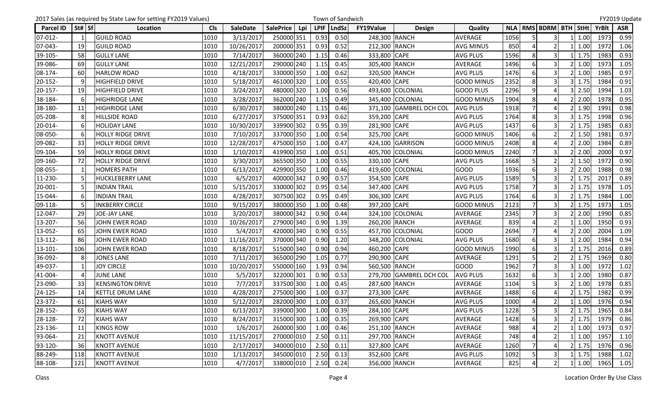|           |        | 2017 Sales (as required by State Law for setting FY2019 Values) |            |                 |                         |             | Town of Sandwich |               |                         |                   |      |                |                               |            |       | FY2019 Update |
|-----------|--------|-----------------------------------------------------------------|------------|-----------------|-------------------------|-------------|------------------|---------------|-------------------------|-------------------|------|----------------|-------------------------------|------------|-------|---------------|
| Parcel ID | St# Sf | Location                                                        | <b>Cls</b> | <b>SaleDate</b> | <b>SalePrice</b><br>Lpi | <b>LPIF</b> | <b>LndSz</b>     | FY19Value     | <b>Design</b>           | Quality           |      |                | NLA   RMS   BDRM   BTH   StHt |            | YrBlt | <b>ASR</b>    |
| 07-012-   |        | <b>GUILD ROAD</b>                                               | 1010       | 3/13/2017       | 250000 351              | 0.93        | 0.50             | 248,300 RANCH |                         | AVERAGE           | 1056 |                | 3                             | 1.00       | 1973  | 0.99          |
| 07-043-   | 19     | <b>GUILD ROAD</b>                                               | 1010       | 10/26/2017      | 200000 351              | 0.93        | 0.52             | 212,300 RANCH |                         | <b>AVG MINUS</b>  | 850  |                | 2 <sub>l</sub>                | 1.00       | 1972  | 1.06          |
| 39-105-   | 58     | <b>GULLY LANE</b>                                               | 1010       | 7/14/2017       | 360000 240              | 1.15        | 0.46             | 333,800 CAPE  |                         | <b>AVG PLUS</b>   | 1596 | 8              | 3                             | 1.75       | 1983  | 0.93          |
| 39-086-   | 69     | <b>GULLY LANE</b>                                               | 1010       | 12/21/2017      | 290000 240              | 1.15        | 0.45             | 305,400 RANCH |                         | AVERAGE           | 1496 | 6              | 3                             | 1.00       | 1973  | 1.05          |
| 08-174-   | 60     | <b>HARLOW ROAD</b>                                              | 1010       | 4/18/2017       | 330000 350              | 1.00        | 0.62             | 320,500 RANCH |                         | <b>AVG PLUS</b>   | 1476 |                | 3                             | 1.00       | 1985  | 0.97          |
| 20-152-   |        | <b>HIGHFIELD DRIVE</b>                                          | 1010       | 5/18/2017       | 461000 320              | 1.00        | 0.55             | 420,400 CAPE  |                         | <b>GOOD MINUS</b> | 2352 | 8              | 3                             | 1.75       | 1984  | 0.91          |
| 20-157-   | 19     | <b>HIGHFIELD DRIVE</b>                                          | 1010       | 3/24/2017       | 480000 320              | 1.00        | 0.56             |               | 493,600 COLONIAL        | <b>GOOD PLUS</b>  | 2296 | $\overline{9}$ |                               | 2.50       | 1994  | 1.03          |
| 38-184-   |        | <b>HIGHRIDGE LANE</b>                                           | 1010       | 3/28/2017       | 362000 240              | 1.15        | 0.49             |               | 345,400 COLONIAL        | <b>GOOD MINUS</b> | 1904 | 8              |                               | 2.00       | 1978  | 0.95          |
| 38-180-   | 11     | <b>HIGHRIDGE LANE</b>                                           | 1010       | 6/30/2017       | 380000 240              | 1.15        | 0.46             |               | 371,100 GAMBREL DCH COL | <b>AVG PLUS</b>   | 1918 |                | Δ                             | 1.90       | 1991  | 0.98          |
| 05-208-   |        | <b>HILLSIDE ROAD</b>                                            | 1010       | 6/27/2017       | 375000 351              | 0.93        | 0.62             | 359,200 CAPE  |                         | <b>AVG PLUS</b>   | 1764 | 8              | 3                             | 1.75       | 1998  | 0.96          |
| 20-014-   |        | <b>HOLIDAY LANE</b>                                             | 1010       | 10/30/2017      | 339900 302              | 0.95        | 0.39             | 281,900 CAPE  |                         | <b>AVG PLUS</b>   | 1437 | 6              | $\overline{3}$                | 1.75       | 1985  | 0.83          |
| 08-050-   |        | <b>HOLLY RIDGE DRIVE</b>                                        | 1010       | 7/10/2017       | 337000 350              | 1.00        | 0.54             | 325,700 CAPE  |                         | <b>GOOD MINUS</b> | 1406 |                | $\mathfrak{p}$                | 1.50       | 1981  | 0.97          |
| 09-082-   | 33     | <b>HOLLY RIDGE DRIVE</b>                                        | 1010       | 12/28/2017      | 475000 350              | 1.00        | 0.47             |               | 424,100 GARRISON        | <b>GOOD MINUS</b> | 2408 | 8              | Δ                             | 2.00       | 1984  | 0.89          |
| 09-104-   | 59     | <b>HOLLY RIDGE DRIVE</b>                                        | 1010       | 1/10/2017       | 419900 350              | 1.00        | 0.51             |               | 405,700 COLONIAL        | <b>GOOD MINUS</b> | 2240 |                | 3                             | 2.00       | 2000  | 0.97          |
| 09-160-   | 72     | <b>HOLLY RIDGE DRIVE</b>                                        | 1010       | 3/30/2017       | 365500 350              | 1.00        | 0.55             | 330,100 CAPE  |                         | <b>AVG PLUS</b>   | 1668 | 5              | $\overline{2}$                | 1.50       | 1972  | 0.90          |
| 08-055-   |        | <b>HOMERS PATH</b>                                              | 1010       | 6/13/2017       | 429900 350              | 1.00        | 0.46             |               | 419,600 COLONIAL        | <b>GOOD</b>       | 1936 |                |                               | 2.00       | 1988  | 0.98          |
| 11-230-   |        | <b>HUCKLEBERRY LANE</b>                                         | 1010       | 6/5/2017        | 400000 342              | 0.90        | 0.57             | 354,500 CAPE  |                         | <b>AVG PLUS</b>   | 1589 |                | $\overline{3}$                | 1.75       | 2017  | 0.89          |
| 20-001-   |        | <b>INDIAN TRAIL</b>                                             | 1010       | 5/15/2017       | 330000 302              | 0.95        | 0.54             | 347,400 CAPE  |                         | <b>AVG PLUS</b>   | 1758 |                | 3                             | 1.75       | 1978  | 1.05          |
| 15-044-   | 6      | <b>INDIAN TRAIL</b>                                             | 1010       | 4/28/2017       | 307500 302              | 0.95        | 0.49             | 306,300 CAPE  |                         | <b>AVG PLUS</b>   | 1764 | 6              | $\overline{3}$                | 1.75       | 1984  | 1.00          |
| 09-118-   |        | <b>INKBERRY CIRCLE</b>                                          | 1010       | 9/15/2017       | 380000 350              | 1.00        | 0.48             | 397,200 CAPE  |                         | <b>GOOD MINUS</b> | 2123 |                | 3                             | 1.75       | 1973  | 1.05          |
| 12-047-   | 29     | <b>JOE-JAY LANE</b>                                             | 1010       | 3/20/2017       | 380000 342              | 0.90        | 0.44             |               | 324,100 COLONIAL        | AVERAGE           | 2345 |                | $\overline{3}$                | 2.00       | 1990  | 0.85          |
| 13-207-   | 56     | <b>JOHN EWER ROAD</b>                                           | 1010       | 10/26/2017      | 279000 340              | 0.90        | 1.39             | 260,200 RANCH |                         | AVERAGE           | 839  |                | $\overline{2}$                | 1.00       | 1950  | 0.93          |
| 13-052-   | 65     | <b>JOHN EWER ROAD</b>                                           | 1010       | 5/4/2017        | 420000 340              | 0.90        | 0.55             |               | 457,700 COLONIAL        | <b>GOOD</b>       | 2694 |                | 4                             | 2.00       | 2004  | 1.09          |
| 13-112-   | 86     | JOHN EWER ROAD                                                  | 1010       | 11/16/2017      | 370000 340              | 0.90        | 1.20             |               | 348,200 COLONIAL        | <b>AVG PLUS</b>   | 1680 |                | 3                             | 2.00       | 1984  | 0.94          |
| 13-101-   | 106    | JOHN EWER ROAD                                                  | 1010       | 8/18/2017       | 515000 340              | 0.90        | 0.94             | 460,200 CAPE  |                         | <b>GOOD MINUS</b> | 1990 | 6              | $\overline{\mathsf{3}}$       | 1.75       | 2016  | 0.89          |
| 36-092-   | 8      | <b>JONES LANE</b>                                               | 1010       | 7/11/2017       | 365000 290              | 1.05        | 0.77             | 290,900 CAPE  |                         | AVERAGE           | 1291 |                | $\overline{2}$                | 1.75       | 1969  | 0.80          |
| 49-037-   |        | <b>JOY CIRCLE</b>                                               | 1010       | 10/20/2017      | 550000 160              | 1.93        | 0.94             | 560,500 RANCH |                         | <b>GOOD</b>       | 1962 |                | 3                             | 1.00       | 1972  | 1.02          |
| 41-004-   |        | <b>JUNE LANE</b>                                                | 1010       | 5/5/2017        | 322000 301              | 0.90        | 0.53             |               | 279,700 GAMBREL DCH COL | <b>AVG PLUS</b>   | 1632 |                | 3                             | 2.00       | 1980  | 0.87          |
| 23-090-   | 33     | <b>KENSINGTON DRIVE</b>                                         | 1010       | 7/7/2017        | 337500 300              | 1.00        | 0.45             | 287,600 RANCH |                         | <b>AVERAGE</b>    | 1104 |                | 3                             | 1.00       | 1978  | 0.85          |
| 24-125-   | 14     | <b>KETTLE DRUM LANE</b>                                         | 1010       | 4/28/2017       | 275000 300              | 1.00        | 0.37             | 273,300 CAPE  |                         | AVERAGE           | 1488 | 6              |                               | 1.75       | 1982  | 0.99          |
| 23-372-   | 61     | <b>KIAHS WAY</b>                                                | 1010       | 5/12/2017       | 282000 300              | 1.00        | 0.37             | 265,600 RANCH |                         | <b>AVG PLUS</b>   | 1000 | $\overline{4}$ | $\overline{2}$                | 1.00       | 1976  | 0.94          |
| 28-152-   | 65     | <b>KIAHS WAY</b>                                                | 1010       | 6/13/2017       | 339000 300              | 1.00        | 0.39             | 284,100 CAPE  |                         | <b>AVG PLUS</b>   | 1228 | 5              | $\overline{\mathbf{3}}$       | 1.75       | 1965  | 0.84          |
| 28-128-   | 72     | <b>KIAHS WAY</b>                                                | 1010       | 8/24/2017       | 315000 300              | 1.00        | 0.35             | 269,900 CAPE  |                         | AVERAGE           | 1428 |                | 3                             | 1.75       | 1979  | 0.86          |
| 23-136-   | 11     | <b>KINGS ROW</b>                                                | 1010       | 1/6/2017        | 260000 300              | 1.00        | 0.46             | 251,100 RANCH |                         | AVERAGE           | 988  |                | $\overline{2}$                | 1.00       | 1973  | 0.97          |
| 93-064-   | 21     | <b>KNOTT AVENUE</b>                                             | 1010       | 11/15/2017      | 270000 010              | 2.50        | 0.11             | 297,700 RANCH |                         | <b>AVERAGE</b>    | 748  |                | $\overline{2}$                | 1.00       | 1957  | 1.10          |
| 93-120-   | 36     | <b>KNOTT AVENUE</b>                                             | 1010       | 2/17/2017       | 340000 010              | 2.50        | 0.11             | 327,800 CAPE  |                         | AVERAGE           | 1260 |                |                               | 1.75       | 1976  | 0.96          |
| 88-249-   | 118    | <b>KNOTT AVENUE</b>                                             | 1010       | 1/13/2017       | 345000 010              | 2.50        | 0.13             | 352,600 CAPE  |                         | <b>AVG PLUS</b>   | 1092 |                | 3                             | 1.75       | 1988  | 1.02          |
| 88-108-   | 121    | <b>KNOTT AVENUE</b>                                             | 1010       | 4/7/2017        | 338000 010              | 2.50        | 0.24             | 356,000 RANCH |                         | AVERAGE           | 825  |                | 2 <sup>1</sup>                | $1 \ 1.00$ | 1965  | 1.05          |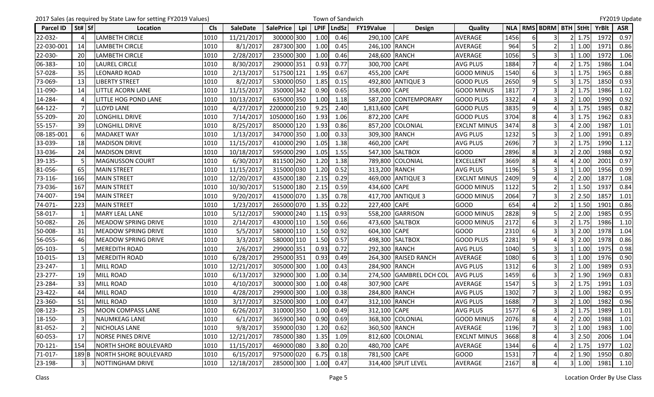|            |        | 2017 Sales (as required by State Law for setting FY2019 Values) |            |                 |                         |             | Town of Sandwich |                  |                         |                     |      |                |                               |            |       | FY2019 Update |
|------------|--------|-----------------------------------------------------------------|------------|-----------------|-------------------------|-------------|------------------|------------------|-------------------------|---------------------|------|----------------|-------------------------------|------------|-------|---------------|
| Parcel ID  | St# Sf | Location                                                        | <b>Cls</b> | <b>SaleDate</b> | <b>SalePrice</b><br>Lpi | <b>LPIF</b> | LndSz            | <b>FY19Value</b> | <b>Design</b>           | Quality             |      |                | NLA   RMS   BDRM   BTH   StHt |            | YrBlt | <b>ASR</b>    |
| 22-032-    |        | <b>LAMBETH CIRCLE</b>                                           | 1010       | 11/21/2017      | 300000 300              | 1.00        | 0.46             | 290,100 CAPE     |                         | <b>AVERAGE</b>      | 1456 |                | 3                             | 1.75       | 1972  | 0.97          |
| 22-030-001 | 14     | <b>LAMBETH CIRCLE</b>                                           | 1010       | 8/1/2017        | 287300 300              | 1.00        | 0.45             | 246,100 RANCH    |                         | AVERAGE             | 964  |                | $\overline{2}$                | 1.00       | 1971  | 0.86          |
| 22-030-    | 20     | LAMBETH CIRCLE                                                  | 1010       | 2/28/2017       | 235000 300              | 1.00        | 0.46             | 248,600 RANCH    |                         | AVERAGE             | 1056 | 5              | $\overline{\mathbf{3}}$       | 1.00       | 1972  | 1.06          |
| 06-383-    | 10     | <b>LAUREL CIRCLE</b>                                            | 1010       | 8/30/2017       | 290000 351              | 0.93        | 0.77             | 300,700 CAPE     |                         | <b>AVG PLUS</b>     | 1884 |                |                               | 1.75       | 1986  | 1.04          |
| 57-028-    | 35     | <b>LEONARD ROAD</b>                                             | 1010       | 2/13/2017       | 517500 121              | 1.95        | 0.67             | 455,200 CAPE     |                         | <b>GOOD MINUS</b>   | 1540 | 6              | $\overline{\mathbf{3}}$       | 1.75       | 1965  | 0.88          |
| 73-069-    | 13     | <b>LIBERTY STREET</b>                                           | 1010       | 8/2/2017        | 530000 050              | 1.85        | 0.15             |                  | 492,800 ANTIQUE 3       | <b>GOOD PLUS</b>    | 2650 | 9              | 5                             | 1.75       | 1850  | 0.93          |
| 11-090-    | 14     | <b>LITTLE ACORN LANE</b>                                        | 1010       | 11/15/2017      | 350000 342              | 0.90        | 0.65             | 358,000 CAPE     |                         | <b>GOOD MINUS</b>   | 1817 |                | $\overline{3}$                | 1.75       | 1986  | 1.02          |
| 14-284-    |        | LITTLE HOG POND LANE                                            | 1010       | 10/13/2017      | 635000 350              | 1.00        | 1.18             |                  | 587,200 CONTEMPORARY    | <b>GOOD PLUS</b>    | 3322 |                |                               | 1.00       | 1990  | 0.92          |
| 64-122-    |        | <b>LLOYD LANE</b>                                               | 1010       | 4/27/2017       | 2200000 210             | 9.25        | 2.40             | 1,813,600 CAPE   |                         | <b>GOOD PLUS</b>    | 3835 | 9              | Δ                             | 1.75       | 1985  | 0.82          |
| 55-209-    | 20     | LONGHILL DRIVE                                                  | 1010       | 7/14/2017       | 1050000 160             | 1.93        | 1.06             | 872,200 CAPE     |                         | <b>GOOD PLUS</b>    | 3704 | 8              | Δ                             | 1.75       | 1962  | 0.83          |
| 55-157-    | 39     | <b>LONGHILL DRIVE</b>                                           | 1010       | 8/25/2017       | 850000 120              | 1.93        | 0.86             |                  | 857,200 COLONIAL        | <b>EXCLNT MINUS</b> | 3474 | 8              | $\overline{3}$                | 2.00       | 1987  | 1.01          |
| 08-185-001 |        | <b>MADAKET WAY</b>                                              | 1010       | 1/13/2017       | 347000 350              | 1.00        | 0.33             | 309,300 RANCH    |                         | <b>AVG PLUS</b>     | 1232 |                |                               | 1.00       | 1991  | 0.89          |
| 33-039-    | 18     | <b>MADISON DRIVE</b>                                            | 1010       | 11/15/2017      | 410000 290              | 1.05        | 1.38             | 460,200 CAPE     |                         | <b>AVG PLUS</b>     | 2696 |                | $\overline{\mathbf{3}}$       | 1.75       | 1990  | 1.12          |
| 33-036-    | 24     | <b>MADISON DRIVE</b>                                            | 1010       | 10/18/2017      | 595000 290              | 1.05        | 1.55             |                  | 547,300 SALTBOX         | <b>GOOD</b>         | 2896 | 8              | $\overline{3}$                | 2.00       | 1988  | 0.92          |
| 39-135-    |        | <b>MAGNUSSON COURT</b>                                          | 1010       | 6/30/2017       | 811500 260              | 1.20        | 1.38             |                  | 789,800 COLONIAL        | <b>EXCELLENT</b>    | 3669 | 8              | 4                             | 2.00       | 2001  | 0.97          |
| 81-056-    | 65     | <b>MAIN STREET</b>                                              | 1010       | 11/15/2017      | 315000 030              | 1.20        | 0.52             | 313,200 RANCH    |                         | <b>AVG PLUS</b>     | 1196 |                | 3                             | 1.00       | 1956  | 0.99          |
| 73-116-    | 166    | <b>MAIN STREET</b>                                              | 1010       | 12/20/2017      | 435000 180              | 2.15        | 0.29             |                  | 469,000 ANTIQUE 3       | <b>EXCLNT MINUS</b> | 2409 | $\overline{9}$ | 4                             | 2.00       | 1877  | 1.08          |
| 73-036-    | 167    | <b>MAIN STREET</b>                                              | 1010       | 10/30/2017      | 515000 180              | 2.15        | 0.59             | 434,600 CAPE     |                         | <b>GOOD MINUS</b>   | 1122 | 5              | $\overline{2}$                | 1.50       | 1937  | 0.84          |
| 74-007-    | 194    | <b>MAIN STREET</b>                                              | 1010       | 9/20/2017       | 415000 070              | 1.35        | 0.78             |                  | 417,700 ANTIQUE 3       | <b>GOOD MINUS</b>   | 2064 |                | $\overline{\mathbf{3}}$       | 2.50       | 1857  | 1.01          |
| 74-071-    | 223    | <b>MAIN STREET</b>                                              | 1010       | 1/23/2017       | 265000 070              | 1.35        | 0.22             | 227,400 CAPE     |                         | <b>GOOD</b>         | 654  |                | 2                             | 1.50       | 1901  | 0.86          |
| 58-017-    |        | <b>MARY LEAL LANE</b>                                           | 1010       | 5/12/2017       | 590000 240              | 1.15        | 0.93             |                  | 558,200 GARRISON        | <b>GOOD MINUS</b>   | 2828 | 9              | 5                             | 2.00       | 1985  | 0.95          |
| 50-082-    | 26     | MEADOW SPRING DRIVE                                             | 1010       | 2/14/2017       | 430000 110              | 1.50        | 0.66             |                  | 473,600 SALTBOX         | <b>GOOD MINUS</b>   | 2172 | 6              | 3                             | 1.75       | 1986  | 1.10          |
| 50-008-    | 31     | MEADOW SPRING DRIVE                                             | 1010       | 5/5/2017        | 580000 110              | 1.50        | 0.92             | 604,300 CAPE     |                         | <b>GOOD</b>         | 2310 | 6              | 3                             | 2.00       | 1978  | 1.04          |
| 56-055-    | 46     | <b>MEADOW SPRING DRIVE</b>                                      | 1010       | 3/3/2017        | 580000 110              | 1.50        | 0.57             |                  | 498,300 SALTBOX         | <b>GOOD PLUS</b>    | 2281 | 9              |                               | 2.00       | 1978  | 0.86          |
| 05-103-    |        | <b>MEREDITH ROAD</b>                                            | 1010       | 2/6/2017        | 299000 351              | 0.93        | 0.72             | 292,300 RANCH    |                         | <b>AVG PLUS</b>     | 1040 |                | 3                             | 1.00       | 1975  | 0.98          |
| 10-015-    | 13     | <b>MEREDITH ROAD</b>                                            | 1010       | 6/28/2017       | 295000 351              | 0.93        | 0.49             |                  | 264,300 RAISED RANCH    | AVERAGE             | 1080 | $6 \mid$       | $\overline{\mathbf{3}}$       | 1.00       | 1976  | 0.90          |
| 23-247-    |        | <b>MILL ROAD</b>                                                | 1010       | 12/21/2017      | 305000 300              | 1.00        | 0.43             | 284,900 RANCH    |                         | <b>AVG PLUS</b>     | 1312 | 6              | 3                             | 1.00       | 1989  | 0.93          |
| 23-277-    | 19     | MILL ROAD                                                       | 1010       | 6/13/2017       | 329000 300              | 1.00        | 0.34             |                  | 274,500 GAMBREL DCH COL | <b>AVG PLUS</b>     | 1459 | 6              | 3                             | 1.90       | 1969  | 0.83          |
| 23-284-    | 33     | MILL ROAD                                                       | 1010       | 4/10/2017       | 300000 300              | 1.00        | 0.48             | 307,900 CAPE     |                         | AVERAGE             | 1547 |                | 3                             | 1.75       | 1991  | 1.03          |
| 23-422-    | 44     | MILL ROAD                                                       | 1010       | 4/28/2017       | 299000 300              | 1.00        | 0.38             | 284,800 RANCH    |                         | <b>AVG PLUS</b>     | 1302 | $\overline{7}$ | $\overline{3}$                | 1.00       | 1982  | 0.95          |
| 23-360-    | 51     | <b>MILL ROAD</b>                                                | 1010       | 3/17/2017       | 325000 300              | 1.00        | 0.47             | 312,100 RANCH    |                         | <b>AVG PLUS</b>     | 1688 | 7              | $\overline{3}$                | $2 \ 1.00$ | 1982  | 0.96          |
| 08-123-    | 25     | MOON COMPASS LANE                                               | 1010       | 6/26/2017       | 310000 350              | 1.00        | 0.49             | 312,100 CAPE     |                         | <b>AVG PLUS</b>     | 1577 | 6              | 3                             | 1.75       | 1989  | 1.01          |
| 18-150-    |        | <b>NAUMKEAG LANE</b>                                            | 1010       | 6/1/2017        | 365900 340              | 0.90        | 0.69             |                  | 368,300 COLONIAL        | <b>GOOD MINUS</b>   | 2076 | 8              |                               | 2.00       | 1988  | 1.01          |
| 81-052-    |        | NICHOLAS LANE                                                   | 1010       | 9/8/2017        | 359000 030              | 1.20        | 0.62             | 360,500 RANCH    |                         | AVERAGE             | 1196 |                | $\overline{\mathbf{3}}$       | 1.00       | 1983  | 1.00          |
| 60-053-    | 17     | NORSE PINES DRIVE                                               | 1010       | 12/21/2017      | 785000 380              | 1.35        | 1.09             |                  | 812,600 COLONIAL        | <b>EXCLNT MINUS</b> | 3668 | 8              |                               | 2.50       | 2006  | 1.04          |
| 70-121-    | 154    | NORTH SHORE BOULEVARD                                           | 1010       | 11/15/2017      | 469000 080              | 3.80        | 0.20             | 480,700 CAPE     |                         | AVERAGE             | 1344 | 6              |                               | 1.75       | 1977  | 1.02          |
| 71-017-    | 189B   | NORTH SHORE BOULEVARD                                           | 1010       | 6/15/2017       | 975000 020              | 6.75        | 0.18             | 781,500 CAPE     |                         | <b>GOOD</b>         | 1531 |                | 4                             | 1.90       | 1950  | 0.80          |
| 23-198-    | 31     | NOTTINGHAM DRIVE                                                | 1010       | 12/18/2017      | 285000 300              | 1.00        | 0.47             |                  | 314,400 SPLIT LEVEL     | AVERAGE             | 2167 | 8              | $\overline{4}$                | 3 1.00     | 1981  | 1.10          |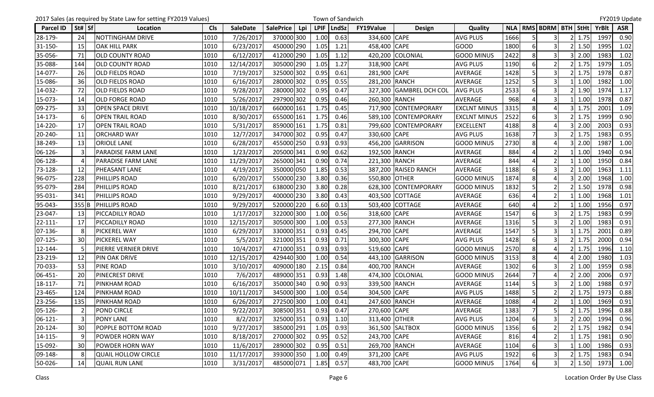|              |          | 2017 Sales (as required by State Law for setting FY2019 Values) |            |                 |                         |             | Town of Sandwich |                  |                         |                     |      |                |                               |               |              | FY2019 Update |
|--------------|----------|-----------------------------------------------------------------|------------|-----------------|-------------------------|-------------|------------------|------------------|-------------------------|---------------------|------|----------------|-------------------------------|---------------|--------------|---------------|
| Parcel ID    | St#   Sf | Location                                                        | <b>Cls</b> | <b>SaleDate</b> | <b>SalePrice</b><br>Lpi | <b>LPIF</b> | LndSz            | <b>FY19Value</b> | <b>Design</b>           | Quality             |      |                | NLA   RMS   BDRM   BTH   StHt |               | <b>YrBlt</b> | <b>ASR</b>    |
| 28-179-      | 24       | NOTTINGHAM DRIVE                                                | 1010       | 7/26/2017       | 370000 300              | 1.00        | 0.63             | 334,600 CAPE     |                         | <b>AVG PLUS</b>     | 1666 |                | 3                             | 1.75          | 1997         | 0.90          |
| 31-150-      | 15       | <b>OAK HILL PARK</b>                                            | 1010       | 6/23/2017       | 450000 290              | 1.05        | 1.21             | 458,400 CAPE     |                         | <b>GOOD</b>         | 1800 |                | 3                             | 1.50          | 1995         | 1.02          |
| 35-056-      | 71       | <b>OLD COUNTY ROAD</b>                                          | 1010       | 6/12/2017       | 412000 290              | 1.05        | 1.12             |                  | 420,200 COLONIAL        | <b>GOOD MINUS</b>   | 2422 | 8              | 3                             | 2.00          | 1983         | 1.02          |
| 35-088-      | 144      | <b>OLD COUNTY ROAD</b>                                          | 1010       | 12/14/2017      | 305000 290              | 1.05        | 1.27             | 318,900 CAPE     |                         | <b>AVG PLUS</b>     | 1190 |                | $\mathfrak{p}$                | 1.75          | 1979         | 1.05          |
| 14-077-      | 26       | <b>OLD FIELDS ROAD</b>                                          | 1010       | 7/19/2017       | 325000 302              | 0.95        | 0.61             | 281,900 CAPE     |                         | AVERAGE             | 1428 |                | $\overline{3}$                | 1.75          | 1978         | 0.87          |
| 15-086-      | 36       | <b>OLD FIELDS ROAD</b>                                          | 1010       | 6/16/2017       | 280000 302              | 0.95        | 0.55             | 281,200 RANCH    |                         | AVERAGE             | 1252 |                | $\mathbf{a}$                  | 1.00          | 1982         | 1.00          |
| 14-032-      | 72       | <b>OLD FIELDS ROAD</b>                                          | 1010       | 9/28/2017       | 280000 302              | 0.95        | 0.47             |                  | 327,300 GAMBREL DCH COL | <b>AVG PLUS</b>     | 2533 | 6              | 3                             | 1.90          | 1974         | 1.17          |
| 15-073-      | 14       | <b>OLD FORGE ROAD</b>                                           | 1010       | 5/26/2017       | 297900 302              | 0.95        | 0.46             | 260,300 RANCH    |                         | AVERAGE             | 968  |                |                               | 1.00          | 1978         | 0.87          |
| 09-275-      | 33       | <b>OPEN SPACE DRIVE</b>                                         | 1010       | 10/18/2017      | 660000 161              | 1.75        | 0.45             |                  | 717,900 CONTEMPORARY    | <b>EXCLNT MINUS</b> | 3315 | 8              | Δ                             | 1.75          | 2001         | 1.09          |
| 14-173-      |          | <b>OPEN TRAIL ROAD</b>                                          | 1010       | 8/30/2017       | 655000 161              | 1.75        | 0.46             | 589,100          | <b>CONTEMPORARY</b>     | <b>EXCLNT MINUS</b> | 2522 |                | 3                             | 1.75          | 1999         | 0.90          |
| 14-220-      | 17       | <b>OPEN TRAIL ROAD</b>                                          | 1010       | 5/31/2017       | 859000 161              | 1.75        | 0.81             |                  | 799,600 CONTEMPORARY    | <b>EXCELLENT</b>    | 4188 | 8              | Δ                             | 2.00          | 2003         | 0.93          |
| 20-240-      | 11       | <b>ORCHARD WAY</b>                                              | 1010       | 12/7/2017       | 347000 302              | 0.95        | 0.47             | 330,600 CAPE     |                         | <b>AVG PLUS</b>     | 1638 |                |                               | 1.75          | 1983         | 0.95          |
| 38-249-      | 13       | <b>ORIOLE LANE</b>                                              | 1010       | 6/28/2017       | 455000 250              | 0.93        | 0.93             |                  | 456,200 GARRISON        | <b>GOOD MINUS</b>   | 2730 | 8              | 4                             | 2.00          | 1987         | 1.00          |
| 06-126-      |          | <b>PARADISE FARM LANE</b>                                       | 1010       | 1/23/2017       | 205000 341              | 0.90        | 0.62             | 192,500 RANCH    |                         | AVERAGE             | 884  |                | $\overline{2}$                | 1.00          | 1940         | 0.94          |
| 06-128-      |          | <b>PARADISE FARM LANE</b>                                       | 1010       | 11/29/2017      | 265000 341              | 0.90        | 0.74             | 221,300 RANCH    |                         | AVERAGE             | 844  |                | 2 <sup>1</sup>                | 1.00          | 1950         | 0.84          |
| 73-128-      | 12       | <b>PHEASANT LANE</b>                                            | 1010       | 4/19/2017       | 350000 050              | 1.85        | 0.53             |                  | 387,200 RAISED RANCH    | <b>AVERAGE</b>      | 1188 | 6              | 3                             | 1.00          | 1963         | 1.11          |
| 96-075-      | 228      | <b>PHILLIPS ROAD</b>                                            | 1010       | 6/20/2017       | 550000 230              | 3.80        | 0.36             | 550,800 OTHER    |                         | <b>GOOD MINUS</b>   | 1874 | 8              | 4                             | 2.00          | 1968         | 1.00          |
| 95-079-      | 284      | <b>PHILLIPS ROAD</b>                                            | 1010       | 8/21/2017       | 638000 230              | 3.80        | 0.28             |                  | 628,300 CONTEMPORARY    | <b>GOOD MINUS</b>   | 1832 | 5              | $\overline{2}$                | 1.50          | 1978         | 0.98          |
| 95-031-      | 341      | <b>PHILLIPS ROAD</b>                                            | 1010       | 9/29/2017       | 400000 230              | 3.80        | 0.43             |                  | 403,500 COTTAGE         | <b>AVERAGE</b>      | 636  |                | $\overline{2}$                | 1.00          | 1968         | 1.01          |
| 95-043-      | 355B     | <b>PHILLIPS ROAD</b>                                            | 1010       | 9/29/2017       | 520000 220              | 6.60        | 0.13             |                  | 503,400 COTTAGE         | AVERAGE             | 640  |                | 2                             | 1.00          | 1956         | 0.97          |
| 23-047-      | 13       | PICCADILLY ROAD                                                 | 1010       | 1/17/2017       | 322000 300              | 1.00        | 0.56             | 318,600 CAPE     |                         | <b>AVERAGE</b>      | 1547 | 6              | 3                             | 1.75          | 1983         | 0.99          |
| 22-111-      | 17       | <b>PICCADILLY ROAD</b>                                          | 1010       | 12/15/2017      | 305000 300              | 1.00        | 0.53             | 277,300 RANCH    |                         | AVERAGE             | 1316 |                | 3                             | 1.00          | 1983         | 0.91          |
| 07-136-      |          | <b>PICKEREL WAY</b>                                             | 1010       | 6/29/2017       | 330000 351              | 0.93        | 0.45             | 294,700 CAPE     |                         | AVERAGE             | 1547 |                | 3                             | 1.75          | 2001         | 0.89          |
| $07 - 125 -$ | 30       | <b>PICKEREL WAY</b>                                             | 1010       | 5/5/2017        | 321000 351              | 0.93        | 0.71             | 300,300 CAPE     |                         | <b>AVG PLUS</b>     | 1428 |                | 3                             | 1.75          | 2000         | 0.94          |
| 12-144-      |          | PIERRE VERNIER DRIVE                                            | 1010       | 10/4/2017       | 471000 351              | 0.93        | 0.93             | 519,600 CAPE     |                         | <b>GOOD MINUS</b>   | 2570 | 8              | 4                             | 1.75          | 1996         | 1.10          |
| 23-219-      | 12       | <b>PIN OAK DRIVE</b>                                            | 1010       | 12/15/2017      | 429440 300              | 1.00        | 0.54             |                  | 443,100 GARRISON        | <b>GOOD MINUS</b>   | 3153 | 8              | 4                             | 2.00          | 1980         | 1.03          |
| 70-033-      | 53       | <b>PINE ROAD</b>                                                | 1010       | 3/10/2017       | 409000 180              | 2.15        | 0.84             | 400,700 RANCH    |                         | AVERAGE             | 1302 |                | 3                             | 1.00          | 1959         | 0.98          |
| 06-451-      | 20       | <b>PINECREST DRIVE</b>                                          | 1010       | 7/6/2017        | 489000 351              | 0.93        | 1.48             |                  | 474,300 COLONIAL        | <b>GOOD MINUS</b>   | 2644 |                | 4                             | 2.00          | 2006         | 0.97          |
| 18-117-      | 71       | <b>PINKHAM ROAD</b>                                             | 1010       | 6/16/2017       | 350000 340              | 0.90        | 0.93             | 339,500 RANCH    |                         | AVERAGE             | 1144 | 5              | 3                             | 1.00          | 1988         | 0.97          |
| 23-465-      | 124      | <b>PINKHAM ROAD</b>                                             | 1010       | 10/11/2017      | 345000 300              | 1.00        | 0.54             | 304,500 CAPE     |                         | <b>AVG PLUS</b>     | 1488 | 5              | $\overline{2}$                | 1.75          | 1973         | 0.88          |
| 23-256-      | 135      | <b>PINKHAM ROAD</b>                                             | 1010       | 6/26/2017       | 272500 300              | 1.00        | 0.41             | 247,600 RANCH    |                         | <b>AVERAGE</b>      | 1088 | $\overline{4}$ | $\overline{2}$                | 1.00          | 1969         | 0.91          |
| 05-126-      |          | POND CIRCLE                                                     | 1010       | 9/22/2017       | 308500 351              | 0.93        | 0.47             | 270,600 CAPE     |                         | AVERAGE             | 1383 |                | 5                             | 1.75          | 1996         | 0.88          |
| 06-121-      |          | <b>PONY LANE</b>                                                | 1010       | 8/2/2017        | 325000 351              | 0.93        | 1.10             | 313,400 OTHER    |                         | <b>AVG PLUS</b>     | 1204 |                |                               | 2.00          | 1994         | 0.96          |
| 20-124-      | 30       | POPPLE BOTTOM ROAD                                              | 1010       | 9/27/2017       | 385000 291              | 1.05        | 0.93             |                  | 361,500 SALTBOX         | <b>GOOD MINUS</b>   | 1356 | 6              | $\overline{2}$                | 1.75          | 1982         | 0.94          |
| 14-115-      |          | POWDER HORN WAY                                                 | 1010       | 8/18/2017       | 270000 302              | 0.95        | 0.52             | 243,700 CAPE     |                         | <b>AVERAGE</b>      | 816  |                |                               | 1.75          | 1981         | 0.90          |
| 15-092-      | 30       | <b>POWDER HORN WAY</b>                                          | 1010       | 11/6/2017       | 289000 302              | 0.95        | 0.51             | 269,700 RANCH    |                         | AVERAGE             | 1104 | 6              | 3                             | 1.00          | 1986         | 0.93          |
| 09-148-      |          | QUAIL HOLLOW CIRCLE                                             | 1010       | 11/17/2017      | 393000 350              | 1.00        | 0.49             | 371,200 CAPE     |                         | <b>AVG PLUS</b>     | 1922 |                | $\overline{3}$                | 1.75          | 1983         | 0.94          |
| 50-026-      | 14       | <b>QUAIL RUN LANE</b>                                           | 1010       | 3/31/2017       | 485000 071              | 1.85        | 0.57             | 483,700 CAPE     |                         | <b>GOOD MINUS</b>   | 1764 |                | $\overline{\mathbf{3}}$       | $2 \mid 1.50$ | 1973         | 1.00          |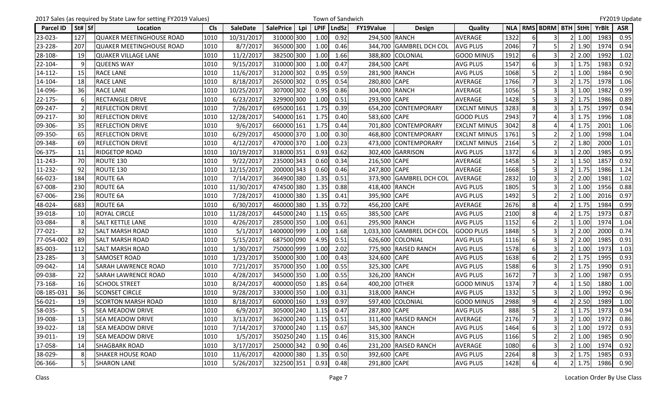|                  |                | 2017 Sales (as required by State Law for setting FY2019 Values) |            |                 |                  |     |      | Town of Sandwich |                  |                         |                     |      |                |                               |               |              | FY2019 Update |
|------------------|----------------|-----------------------------------------------------------------|------------|-----------------|------------------|-----|------|------------------|------------------|-------------------------|---------------------|------|----------------|-------------------------------|---------------|--------------|---------------|
| <b>Parcel ID</b> | St# Sf         | Location                                                        | <b>Cls</b> | <b>SaleDate</b> | <b>SalePrice</b> | Lpi |      | LPIF   LndSz     | <b>FY19Value</b> | <b>Design</b>           | Quality             |      |                | NLA   RMS   BDRM   BTH   StHt |               | <b>YrBlt</b> | <b>ASR</b>    |
| 23-023-          | 127            | <b>QUAKER MEETINGHOUSE ROAD</b>                                 | 1010       | 10/31/2017      | 310000 300       |     | 1.00 | 0.92             | 294,500 RANCH    |                         | AVERAGE             | 1322 |                | 3                             | 1.00          | 1983         | 0.95          |
| 23-228-          | 207            | <b>QUAKER MEETINGHOUSE ROAD</b>                                 | 1010       | 8/7/2017        | 365000 300       |     | 1.00 | 0.46             |                  | 344,700 GAMBREL DCH COL | <b>AVG PLUS</b>     | 2046 |                | 5                             | 1.90          | 1974         | 0.94          |
| 28-108-          | 19             | <b>QUAKER VILLAGE LANE</b>                                      | 1010       | 11/2/2017       | 382500 300       |     | 1.00 | 1.66             | 388,800          | COLONIAL                | <b>GOOD MINUS</b>   | 1912 | $6 \mid$       | 3                             | 2.00          | 1992         | 1.02          |
| 22-104-          | q              | <b>QUEENS WAY</b>                                               | 1010       | 9/15/2017       | 310000 300       |     | 1.00 | 0.47             | 284,500 CAPE     |                         | <b>AVG PLUS</b>     | 1547 | 6              |                               | 1.75          | 1983         | 0.92          |
| 14-112-          | 15             | RACE LANE                                                       | 1010       | 11/6/2017       | 312000 302       |     | 0.95 | 0.59             | 281,900          | <b>RANCH</b>            | <b>AVG PLUS</b>     | 1068 |                | 2 <sub>l</sub>                | 1.00          | 1984         | 0.90          |
| 14-104-          | 18             | <b>RACE LANE</b>                                                | 1010       | 8/18/2017       | 265000 302       |     | 0.95 | 0.54             | 280,800          | <b>CAPE</b>             | <b>AVERAGE</b>      | 1766 |                | 3                             | 1.75          | 1978         | 1.06          |
| 14-096-          | 36             | <b>RACE LANE</b>                                                | 1010       | 10/25/2017      | 307000 302       |     | 0.95 | 0.86             | 304,000 RANCH    |                         | AVERAGE             | 1056 | 5              | 3                             | 1.00          | 1982         | 0.99          |
| 22-175-          | 6              | <b>RECTANGLE DRIVE</b>                                          | 1010       | 6/23/2017       | 329900 300       |     | 1.00 | 0.51             | 293,900 CAPE     |                         | AVERAGE             | 1428 |                |                               | 1.75          | 1986         | 0.89          |
| 09-247-          | $\mathcal{P}$  | <b>REFLECTION DRIVE</b>                                         | 1010       | 7/26/2017       | 695000 161       |     | 1.75 | 0.39             | 654,200          | <b>CONTEMPORARY</b>     | <b>EXCLNT MINUS</b> | 3283 | 8              | 3                             | 1.75          | 1997         | 0.94          |
| 09-217-          | 30             | <b>REFLECTION DRIVE</b>                                         | 1010       | 12/28/2017      | 540000 161       |     | 1.75 | 0.40             | 583,600          | <b>CAPE</b>             | <b>GOOD PLUS</b>    | 2943 |                | Δ                             | 1.75          | 1996         | 1.08          |
| 09-306-          | 35             | <b>REFLECTION DRIVE</b>                                         | 1010       | 9/6/2017        | 660000 161       |     | 1.75 | 0.44             | 701,800          | <b>CONTEMPORARY</b>     | <b>EXCLNT MINUS</b> | 3042 | 8              | Δ                             | 1.75          | 2001         | 1.06          |
| 09-350-          | 65             | REFLECTION DRIVE                                                | 1010       | 6/29/2017       | 450000 370       |     | 1.00 | 0.30             | 468,800          | <b>CONTEMPORARY</b>     | <b>EXCLNT MINUS</b> | 1761 |                |                               | 1.00          | 1998         | 1.04          |
| 09-348-          | 69             | <b>REFLECTION DRIVE</b>                                         | 1010       | 4/12/2017       | 470000 370       |     | 1.00 | 0.23             | 473,000          | <b>CONTEMPORARY</b>     | <b>EXCLNT MINUS</b> | 2164 | 5              | 2 <sub>l</sub>                | 1.80          | 2000         | 1.01          |
| 06-375-          | 11             | <b>RIDGETOP ROAD</b>                                            | 1010       | 10/19/2017      | 318000 351       |     | 0.93 | 0.62             |                  | 302,400 GARRISON        | <b>AVG PLUS</b>     | 1372 | 6              | 3                             | 2.00          | 1985         | 0.95          |
| 11-243-          | 70             | ROUTE 130                                                       | 1010       | 9/22/2017       | 235000 343       |     | 0.60 | 0.34             | 216,500 CAPE     |                         | AVERAGE             | 1458 | 5              | $\overline{2}$                | 1.50          | 1857         | 0.92          |
| 11-232-          | 92             | ROUTE 130                                                       | 1010       | 12/15/2017      | 200000 343       |     | 0.60 | 0.46             | 247,800 CAPE     |                         | <b>AVERAGE</b>      | 1668 |                | $\overline{3}$                | 1.75          | 1986         | 1.24          |
| 66-023-          | 184            | <b>ROUTE 6A</b>                                                 | 1010       | 7/14/2017       | 364900 380       |     | 1.35 | 0.51             | 373,900          | <b>GAMBREL DCH COL</b>  | AVERAGE             | 2832 | 10             | 3                             | 2.00          | 1981         | 1.02          |
| 67-008-          | 230            | ROUTE 6A                                                        | 1010       | 11/30/2017      | 474500 380       |     | 1.35 | 0.88             | 418,400 RANCH    |                         | <b>AVG PLUS</b>     | 1805 | 5              | $\overline{3}$                | 1.00          | 1956         | 0.88          |
| 67-006-          | 236            | ROUTE 6A                                                        | 1010       | 7/28/2017       | 410000 380       |     | 1.35 | 0.41             | 395,900 CAPE     |                         | <b>AVG PLUS</b>     | 1492 | 5              | $\overline{2}$                | 1.00          | 2016         | 0.97          |
| 48-024-          | 683            | ROUTE 6A                                                        | 1010       | 6/30/2017       | 460000 380       |     | 1.35 | 0.72             | 456,200          | <b>CAPE</b>             | AVERAGE             | 2676 | 8              |                               | 1.75          | 1984         | 0.99          |
| 39-018-          | 10             | <b>ROYAL CIRCLE</b>                                             | 1010       | 11/28/2017      | 445000 240       |     | 1.15 | 0.65             | 385,500          | <b>CAPE</b>             | <b>AVG PLUS</b>     | 2100 | 8              | Δ                             | 1.75          | 1973         | 0.87          |
| 03-084-          | 8              | <b>SALT KETTLE LANE</b>                                         | 1010       | 4/26/2017       | 285000 350       |     | 1.00 | 0.61             | 295,900 RANCH    |                         | <b>AVG PLUS</b>     | 1152 | 6              | $\overline{2}$                | 1.00          | 1974         | 1.04          |
| 77-021-          | 32             | <b>SALT MARSH ROAD</b>                                          | 1010       | 5/1/2017        | 1400000 999      |     | 1.00 | 1.68             | 1,033,300        | <b>GAMBREL DCH COL</b>  | <b>GOOD PLUS</b>    | 1848 |                | 3                             | 2.00          | 2000         | 0.74          |
| 77-054-002       | 89             | <b>SALT MARSH ROAD</b>                                          | 1010       | 5/15/2017       | 687500 090       |     | 4.95 | 0.51             |                  | 626,600 COLONIAL        | <b>AVG PLUS</b>     | 1116 | 6              | 3                             | 2.00          | 1985         | 0.91          |
| 85-003-          | 112            | <b>SALT MARSH ROAD</b>                                          | 1010       | 1/30/2017       | 750000 999       |     | 1.00 | 2.02             |                  | 775,900 RAISED RANCH    | <b>AVG PLUS</b>     | 1578 | 6              | 3                             | 1.00          | 1973         | 1.03          |
| 23-285-          | $\overline{3}$ | <b>SAMOSET ROAD</b>                                             | 1010       | 1/23/2017       | 350000 300       |     | 1.00 | 0.43             | 324,600 CAPE     |                         | <b>AVG PLUS</b>     | 1638 | $6 \mid$       | 2 <sub>l</sub>                | 1.75          | 1995         | 0.93          |
| 09-042-          | 14             | <b>SARAH LAWRENCE ROAD</b>                                      | 1010       | 7/21/2017       | 357000 350       |     | 1.00 | 0.55             | 325,300 CAPE     |                         | <b>AVG PLUS</b>     | 1588 |                | 3                             | 1.75          | 1990         | 0.91          |
| 09-038-          | 22             | <b>SARAH LAWRENCE ROAD</b>                                      | 1010       | 4/28/2017       | 345000 350       |     | 1.00 | 0.55             | 326,200 RANCH    |                         | <b>AVG PLUS</b>     | 1672 |                | 3                             | 1.00          | 1987         | 0.95          |
| 73-168-          | 16             | <b>SCHOOL STREET</b>                                            | 1010       | 8/24/2017       | 400000 050       |     | 1.85 | 0.64             | 400,200          | <b>OTHER</b>            | <b>GOOD MINUS</b>   | 1374 |                | $\Delta$                      | 1.50          | 1880         | 1.00          |
| 08-185-031       | 36             | <b>SCONSET CIRCLE</b>                                           | 1010       | 9/28/2017       | 330000 350       |     | 1.00 | 0.31             | 318,000 RANCH    |                         | <b>AVG PLUS</b>     | 1332 | 5              | 3                             | 1.00          | 1992         | 0.96          |
| $56-021-$        | 19             | <b>SCORTON MARSH ROAD</b>                                       | 1010       | 8/18/2017       | 600000 160       |     | 1.93 | 0.97             |                  | 597,400 COLONIAL        | <b>GOOD MINUS</b>   | 2988 | $\overline{9}$ | 4                             | 2.50          | 1989         | 1.00          |
| 58-035-          | 5              | <b>SEA MEADOW DRIVE</b>                                         | 1010       | 6/9/2017        | 305000 240       |     | 1.15 | 0.47             | 287,800 CAPE     |                         | <b>AVG PLUS</b>     | 888  | 5              | $\overline{2}$                | 1.75          | 1973         | 0.94          |
| 39-008-          | 13             | <b>SEA MEADOW DRIVE</b>                                         | 1010       | 3/13/2017       | 362000 240       |     | 1.15 | 0.51             |                  | 311,400 RAISED RANCH    | AVERAGE             | 2176 |                | 3                             | 1.00          | 1972         | 0.86          |
| 39-022-          | 18             | <b>SEA MEADOW DRIVE</b>                                         | 1010       | 7/14/2017       | 370000 240       |     | 1.15 | 0.67             | 345,300 RANCH    |                         | <b>AVG PLUS</b>     | 1464 | $6 \mid$       | $\overline{\mathbf{3}}$       | 1.00          | 1972         | 0.93          |
| 39-011-          | 19             | <b>SEA MEADOW DRIVE</b>                                         | 1010       | 1/5/2017        | 350250 240       |     | 1.15 | 0.46             | 315,300 RANCH    |                         | <b>AVG PLUS</b>     | 1166 |                |                               | 1.00          | 1985         | 0.90          |
| 17-058-          | 14             | <b>SHAGBARK ROAD</b>                                            | 1010       | 3/17/2017       | 250000 342       |     | 0.90 | 0.46             |                  | 231,200 RAISED RANCH    | AVERAGE             | 1080 | 6              | $\overline{3}$                | 1.00          | 1974         | 0.92          |
| 38-029-          | 8              | <b>SHAKER HOUSE ROAD</b>                                        | 1010       | 11/6/2017       | 420000 380       |     | 1.35 | 0.50             | 392,600 CAPE     |                         | <b>AVG PLUS</b>     | 2264 |                | 3                             | 1.75          | 1985         | 0.93          |
| 06-366-          | $5 \mid$       | <b>SHARON LANE</b>                                              | 1010       | 5/26/2017       | 322500 351       |     | 0.93 | 0.48             | 291,800 CAPE     |                         | <b>AVG PLUS</b>     | 1428 | 6              | 4                             | $2 \mid 1.75$ | 1986         | 0.90          |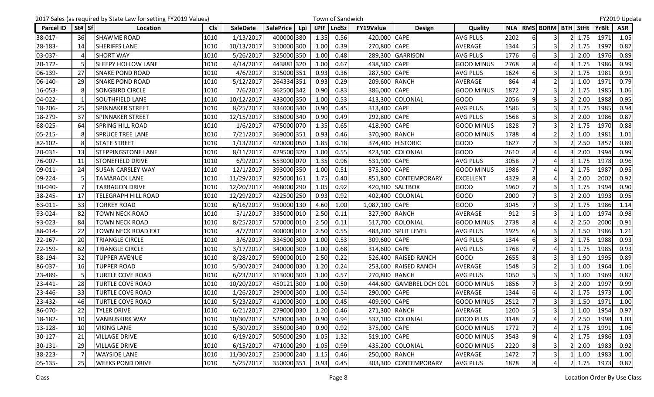|           |          | 2017 Sales (as required by State Law for setting FY2019 Values) |            |                 |                         |             | Town of Sandwich |                  |                         |                   |      |                |                               |               |              | FY2019 Update |
|-----------|----------|-----------------------------------------------------------------|------------|-----------------|-------------------------|-------------|------------------|------------------|-------------------------|-------------------|------|----------------|-------------------------------|---------------|--------------|---------------|
| Parcel ID | St#   Sf | Location                                                        | <b>Cls</b> | <b>SaleDate</b> | <b>SalePrice</b><br>Lpi | <b>LPIF</b> | <b>LndSz</b>     | <b>FY19Value</b> | <b>Design</b>           | Quality           |      |                | NLA   RMS   BDRM   BTH   StHt |               | <b>YrBlt</b> | <b>ASR</b>    |
| 38-017-   | 36       | <b>SHAWME ROAD</b>                                              | 1010       | 1/13/2017       | 400000 380              | 1.35        | 0.56             | 420,000 CAPE     |                         | <b>AVG PLUS</b>   | 2202 |                | 3                             | 1.75          | 1971         | 1.05          |
| 28-183-   | 14       | <b>SHERIFFS LANE</b>                                            | 1010       | 10/13/2017      | 310000 300              | 1.00        | 0.39             | 270,800 CAPE     |                         | AVERAGE           | 1344 |                | 3                             | 1.75          | 1997         | 0.87          |
| 03-037-   |          | <b>SHORT WAY</b>                                                | 1010       | 5/26/2017       | 325000 350              | 1.00        | 0.48             |                  | 289,300 GARRISON        | <b>AVG PLUS</b>   | 1776 | 6              | 3                             | 2.00          | 1976         | 0.89          |
| 20-172-   |          | <b>SLEEPY HOLLOW LANE</b>                                       | 1010       | 4/14/2017       | 443881320               | 1.00        | 0.67             | 438,500 CAPE     |                         | <b>GOOD MINUS</b> | 2768 | 8              |                               | 1.75          | 1986         | 0.99          |
| 06-139-   | 27       | <b>SNAKE POND ROAD</b>                                          | 1010       | 4/6/2017        | 315000 351              | 0.93        | 0.36             | 287,500 CAPE     |                         | <b>AVG PLUS</b>   | 1624 |                | 3                             | 1.75          | 1981         | 0.91          |
| 06-140-   | 29       | <b>SNAKE POND ROAD</b>                                          | 1010       | 5/12/2017       | 264334 351              | 0.93        | 0.29             | 209,600 RANCH    |                         | AVERAGE           | 864  |                | $\mathfrak{p}$                | 1.00          | 1971         | 0.79          |
| 16-053-   |          | <b>SONGBIRD CIRCLE</b>                                          | 1010       | 7/6/2017        | 362500 342              | 0.90        | 0.83             | 386,000 CAPE     |                         | <b>GOOD MINUS</b> | 1872 |                | $\overline{3}$                | 1.75          | 1985         | 1.06          |
| 04-022-   |          | SOUTHFIELD LANE                                                 | 1010       | 10/12/2017      | 433000 350              | 1.00        | 0.53             |                  | 413,300 COLONIAL        | <b>GOOD</b>       | 2056 | q              |                               | 2.00          | 1988         | 0.95          |
| 18-206-   | 25       | <b>SPINNAKER STREET</b>                                         | 1010       | 8/25/2017       | 334000 340              | 0.90        | 0.45             | 313,400 CAPE     |                         | <b>AVG PLUS</b>   | 1586 |                | 3                             | 1.75          | 1985         | 0.94          |
| 18-279-   | 37       | <b>SPINNAKER STREET</b>                                         | 1010       | 12/15/2017      | 336000 340              | 0.90        | 0.49             | 292,800 CAPE     |                         | <b>AVG PLUS</b>   | 1568 |                | 3                             | 2.00          | 1986         | 0.87          |
| 68-025-   | 64       | <b>SPRING HILL ROAD</b>                                         | 1010       | 1/6/2017        | 475000 070              | 1.35        | 0.65             | 418,900 CAPE     |                         | <b>GOOD MINUS</b> | 1828 |                | $\overline{3}$                | 1.75          | 1970         | 0.88          |
| 05-215-   |          | <b>SPRUCE TREE LANE</b>                                         | 1010       | 7/21/2017       | 369000 351              | 0.93        | 0.46             | 370,900 RANCH    |                         | <b>GOOD MINUS</b> | 1788 |                |                               | 1.00          | 1981         | 1.01          |
| 82-102-   |          | <b>STATE STREET</b>                                             | 1010       | 1/13/2017       | 420000 050              | 1.85        | 0.18             |                  | 374,400 HISTORIC        | <b>GOOD</b>       | 1627 |                | $\overline{3}$                | 2.50          | 1857         | 0.89          |
| 20-031-   | 13       | <b>STEPPINGSTONE LANE</b>                                       | 1010       | 8/11/2017       | 429500 320              | 1.00        | 0.55             |                  | 423,500 COLONIAL        | <b>GOOD</b>       | 2610 | 8              | $\overline{a}$                | 2.00          | 1994         | 0.99          |
| 76-007-   | 11       | <b>STONEFIELD DRIVE</b>                                         | 1010       | 6/9/2017        | 553000 070              | 1.35        | 0.96             | 531,900 CAPE     |                         | <b>AVG PLUS</b>   | 3058 |                |                               | 1.75          | 1978         | 0.96          |
| 09-011-   | 24       | <b>SUSAN CARSLEY WAY</b>                                        | 1010       | 12/1/2017       | 393000 350              | 1.00        | 0.51             | 375,300 CAPE     |                         | <b>GOOD MINUS</b> | 1986 |                |                               | 1.75          | 1987         | 0.95          |
| 09-224-   |          | <b>TAMARACK LANE</b>                                            | 1010       | 11/29/2017      | 925000 161              | 1.75        | 0.40             | 851,800          | <b>CONTEMPORARY</b>     | <b>EXCELLENT</b>  | 4329 | 8              | 4                             | 2.00          | 2002         | 0.92          |
| 30-040-   |          | TARRAGON DRIVE                                                  | 1010       | 12/20/2017      | 468000 290              | 1.05        | 0.92             |                  | 420,300 SALTBOX         | <b>GOOD</b>       | 1960 |                | $\overline{3}$                | 1.75          | 1994         | 0.90          |
| 38-245-   | 17       | TELEGRAPH HILL ROAD                                             | 1010       | 12/29/2017      | 422500 250              | 0.93        | 0.92             |                  | 402,400 COLONIAL        | GOOD              | 2000 |                | $\overline{\mathbf{3}}$       | 2.00          | 1993         | 0.95          |
| 63-011-   | 33       | TORREY ROAD                                                     | 1010       | 6/16/2017       | 950000 130              | 4.60        | 1.00             | 1,087,100 CAPE   |                         | <b>GOOD</b>       | 3045 |                | 3                             | 1.75          | 1986         | 1.14          |
| 93-024-   | 82       | <b>TOWN NECK ROAD</b>                                           | 1010       | 5/1/2017        | 335000 010              | 2.50        | 0.11             | 327,900 RANCH    |                         | <b>AVERAGE</b>    | 912  |                | 3                             | 1.00          | 1974         | 0.98          |
| 93-023-   | 84       | <b>TOWN NECK ROAD</b>                                           | 1010       | 8/25/2017       | 570000 010              | 2.50        | 0.11             |                  | 517,700 COLONIAL        | <b>GOOD MINUS</b> | 2738 | 8              |                               | 2.50          | 2000         | 0.91          |
| 88-014-   | 22       | TOWN NECK ROAD EXT                                              | 1010       | 4/7/2017        | 400000 010              | 2.50        | 0.55             |                  | 483,200 SPLIT LEVEL     | <b>AVG PLUS</b>   | 1925 | 6              | 3                             | 1.50          | 1986         | 1.21          |
| 22-167-   | 20       | TRIANGLE CIRCLE                                                 | 1010       | 3/6/2017        | 334500 300              | 1.00        | 0.53             | 309,600 CAPE     |                         | <b>AVG PLUS</b>   | 1344 |                | 3                             | 1.75          | 1988         | 0.93          |
| 22-159-   | 62       | <b>TRIANGLE CIRCLE</b>                                          | 1010       | 3/17/2017       | 340000 300              | 1.00        | 0.68             | 314,600 CAPE     |                         | <b>AVG PLUS</b>   | 1768 |                | Δ                             | 1.75          | 1985         | 0.93          |
| 88-194-   | 32       | <b>TUPPER AVENUE</b>                                            | 1010       | 8/28/2017       | 590000 010              | 2.50        | 0.22             |                  | 526,400 RAISED RANCH    | <b>GOOD</b>       | 2655 | 8              | 3                             | 1.90          | 1995         | 0.89          |
| 86-037-   | 16       | <b>TUPPER ROAD</b>                                              | 1010       | 5/30/2017       | 240000 030              | 1.20        | 0.24             |                  | 253,600 RAISED RANCH    | <b>AVERAGE</b>    | 1548 |                | $\mathfrak{p}$                | 1.00          | 1964         | 1.06          |
| 23-489-   |          | TURTLE COVE ROAD                                                | 1010       | 6/23/2017       | 313000 300              | 1.00        | 0.57             | 270,800 RANCH    |                         | <b>AVG PLUS</b>   | 1050 | 5              | 3                             | 1.00          | 1969         | 0.87          |
| 23-441-   | 28       | <b>TURTLE COVE ROAD</b>                                         | 1010       | 10/20/2017      | 450121300               | 1.00        | 0.50             |                  | 444,600 GAMBREL DCH COL | <b>GOOD MINUS</b> | 1856 |                | 3                             | 2.00          | 1997         | 0.99          |
| 23-446-   | 33       | <b>TURTLE COVE ROAD</b>                                         | 1010       | 1/26/2017       | 290000 300              | 1.00        | 0.54             | 290,000 CAPE     |                         | <b>AVERAGE</b>    | 1344 | 6              | Δ                             | 1.75          | 1973         | 1.00          |
| 23-432-   | 46       | <b>TURTLE COVE ROAD</b>                                         | 1010       | 5/23/2017       | 410000 300              | 1.00        | 0.45             | 409,900 CAPE     |                         | <b>GOOD MINUS</b> | 2512 | 7              | $\overline{3}$                | 3 1.50        | 1971         | 1.00          |
| 86-070-   | 22       | <b>TYLER DRIVE</b>                                              | 1010       | 6/21/2017       | 279000 030              | 1.20        | 0.46             | 271,300 RANCH    |                         | AVERAGE           | 1200 | 5              | 3                             | 1.00          | 1954         | 0.97          |
| 18-182-   | 10       | <b>VANBUSKIRK WAY</b>                                           | 1010       | 10/30/2017      | 520000 340              | 0.90        | 0.94             |                  | 537,100 COLONIAL        | <b>GOOD PLUS</b>  | 3148 |                |                               | 2.50          | 1998         | 1.03          |
| 13-128-   | 10       | <b>VIKING LANE</b>                                              | 1010       | 5/30/2017       | 355000 340              | 0.90        | 0.92             | 375,000 CAPE     |                         | <b>GOOD MINUS</b> | 1772 | $\overline{7}$ |                               | 1.75          | 1991         | 1.06          |
| 30-127-   | 21       | <b>VILLAGE DRIVE</b>                                            | 1010       | 6/19/2017       | 505000 290              | 1.05        | 1.32             | 519,100 CAPE     |                         | <b>GOOD MINUS</b> | 3543 | $\overline{9}$ |                               | 1.75          | 1986         | 1.03          |
| 30-131-   | 29       | <b>VILLAGE DRIVE</b>                                            | 1010       | 6/15/2017       | 471000 290              | 1.05        | 0.99             |                  | 435,200 COLONIAL        | <b>GOOD MINUS</b> | 2220 | 8              | 3                             | 2.00          | 1983         | 0.92          |
| 38-223-   |          | <b>WAYSIDE LANE</b>                                             | 1010       | 11/30/2017      | 250000 240              | 1.15        | 0.46             | 250,000 RANCH    |                         | AVERAGE           | 1472 |                | $\overline{3}$                | 1.00          | 1983         | 1.00          |
| 05-135-   | 25       | <b>WEEKS POND DRIVE</b>                                         | 1010       | 5/25/2017       | 350000 351              | 0.93        | 0.45             |                  | 303,300 CONTEMPORARY    | <b>AVG PLUS</b>   | 1878 | 8              | $\overline{4}$                | $2 \mid 1.75$ | 1973         | 0.87          |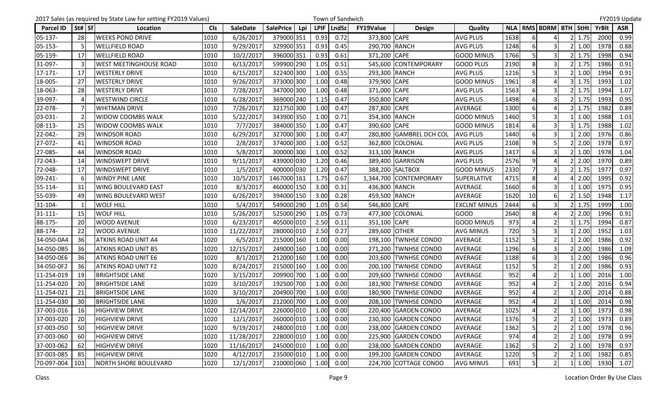|                  |           | 2017 Sales (as required by State Law for setting FY2019 Values) |            |                 |                  |     |      | Town of Sandwich |                  |                        |                     |      |                |                               |           |      |              | FY2019 Update |
|------------------|-----------|-----------------------------------------------------------------|------------|-----------------|------------------|-----|------|------------------|------------------|------------------------|---------------------|------|----------------|-------------------------------|-----------|------|--------------|---------------|
| <b>Parcel ID</b> | St# Sf    | Location                                                        | <b>Cls</b> | <b>SaleDate</b> | <b>SalePrice</b> | Lpi |      | LPIF   LndSz     | <b>FY19Value</b> | <b>Design</b>          | Quality             |      |                | NLA   RMS   BDRM   BTH   StHt |           |      | <b>YrBlt</b> | <b>ASR</b>    |
| 05-137-          | 28        | <b>WEEKS POND DRIVE</b>                                         | 1010       | 6/26/2017       | 379000 351       |     | 0.93 | 0.72             | 373,800 CAPE     |                        | <b>AVG PLUS</b>     | 1638 |                |                               |           | 1.75 | 2000         | 0.99          |
| 05-153-          |           | <b>WELLFIELD ROAD</b>                                           | 1010       | 9/29/2017       | 329900 351       |     | 0.93 | 0.45             | 290,700 RANCH    |                        | <b>AVG PLUS</b>     | 1248 |                | 3                             |           | 1.00 | 1978         | 0.88          |
| 05-159-          | 17        | <b>WELLFIELD ROAD</b>                                           | 1010       | 10/2/2017       | 396000 351       |     | 0.93 | 0.61             | 371,200 CAPE     |                        | <b>GOOD MINUS</b>   | 1766 | 5              | 3                             |           | 1.75 | 1998         | 0.94          |
| 31-097-          |           | WEST MEETINGHOUSE ROAD                                          | 1010       | 6/13/2017       | 599900 290       |     | 1.05 | 0.51             | 545,600          | <b>CONTEMPORARY</b>    | <b>GOOD PLUS</b>    | 2190 | 8              | 3                             |           | 1.75 | 1986         | 0.91          |
| $17 - 171$       | 17        | <b>WESTERLY DRIVE</b>                                           | 1010       | 6/15/2017       | 322400 300       |     | 1.00 | 0.55             | 293,300 RANCH    |                        | <b>AVG PLUS</b>     | 1216 |                | $\overline{3}$                |           | 1.00 | 1994         | 0.91          |
| 18-005-          | 27        | <b>WESTERLY DRIVE</b>                                           | 1010       | 9/26/2017       | 373000 300       |     | 1.00 | 0.48             | 379,900 CAPE     |                        | <b>GOOD MINUS</b>   | 1961 | 8              | $\Delta$                      |           | 1.75 | 1993         | 1.02          |
| 18-063-          | 28        | <b>WESTERLY DRIVE</b>                                           | 1010       | 7/28/2017       | 347000 300       |     | 1.00 | 0.48             | 371,000 CAPE     |                        | <b>AVG PLUS</b>     | 1563 | 6              | $\overline{3}$                |           | 1.75 | 1994         | 1.07          |
| 39-097-          |           | <b>WESTWIND CIRCLE</b>                                          | 1010       | 6/28/2017       | 369000 240       |     | 1.15 | 0.47             | 350,800          | <b>CAPE</b>            | <b>AVG PLUS</b>     | 1498 |                |                               |           | 1.75 | 1993         | 0.95          |
| 22-078-          |           | <b>WHITMAN DRIVE</b>                                            | 1010       | 7/26/2017       | 321750 300       |     | 1.00 | 0.47             | 287,800          | <b>CAPE</b>            | AVERAGE             | 1300 | 6              | Δ                             |           | 1.75 | 1982         | 0.89          |
| 03-031-          |           | WIDOW COOMBS WALK                                               | 1010       | 5/22/2017       | 343900 350       |     | 1.00 | 0.71             | 354,300 RANCH    |                        | <b>GOOD MINUS</b>   | 1460 |                | 3                             |           | 1.00 | 1988         | 1.03          |
| 08-113-          | 25        | <b>WIDOW COOMBS WALK</b>                                        | 1010       | 7/7/2017        | 384000 350       |     | 1.00 | 0.47             | 390,600 CAPE     |                        | <b>GOOD MINUS</b>   | 1814 | $6 \mid$       | 3                             |           | 1.75 | 1988         | 1.02          |
| 22-042-          | 29        | <b>WINDSOR ROAD</b>                                             | 1010       | 6/29/2017       | 327000 300       |     | 1.00 | 0.47             | 280,800          | <b>GAMBREL DCH COL</b> | <b>AVG PLUS</b>     | 1440 | 6              |                               |           | 2.00 | 1976         | 0.86          |
| 27-072-          | 41        | <b>WINDSOR ROAD</b>                                             | 1010       | 2/8/2017        | 374000 300       |     | 1.00 | 0.52             | 362,800          | COLONIAL               | <b>AVG PLUS</b>     | 2108 | 9              | 5                             |           | 2.00 | 1978         | 0.97          |
| 27-085-          | 44        | <b>WINDSOR ROAD</b>                                             | 1010       | 5/8/2017        | 300000 300       |     | 1.00 | 0.52             | 313,100 RANCH    |                        | <b>AVG PLUS</b>     | 1417 | 6              | 3                             |           | 1.00 | 1978         | 1.04          |
| 72-043-          | 14        | <b>WINDSWEPT DRIVE</b>                                          | 1010       | 9/11/2017       | 439000 030       |     | 1.20 | 0.46             |                  | 389,400 GARRISON       | <b>AVG PLUS</b>     | 2576 | 9              |                               |           | 2.00 | 1970         | 0.89          |
| 72-048-          | 17        | <b>WINDSWEPT DRIVE</b>                                          | 1010       | 1/5/2017        | 400000 030       |     | 1.20 | 0.47             |                  | 388,200 SALTBOX        | <b>GOOD MINUS</b>   | 2330 |                | 3                             |           | 1.75 | 1977         | 0.97          |
| 09-241-          | 6         | <b>WINDY PINE LANE</b>                                          | 1010       | 10/5/2017       | 1467000 161      |     | 1.75 | 0.67             | 1,344,700        | <b>CONTEMPORARY</b>    | <b>SUPERLATIVE</b>  | 4715 | 8              | 4                             |           | 2.00 | 1995         | 0.92          |
| 55-114-          | 31        | WING BOULEVARD EAST                                             | 1010       | 8/3/2017        | 460000 150       |     | 3.00 | 0.31             | 436,800 RANCH    |                        | AVERAGE             | 1660 | 6              | $\overline{3}$                |           | 1.00 | 1975         | 0.95          |
| 55-039-          | 49        | <b>WING BOULEVARD WEST</b>                                      | 1010       | 6/26/2017       | 394000 150       |     | 3.00 | 0.28             | 459,500 RANCH    |                        | AVERAGE             | 1620 | 10             | 6                             |           | 1.50 | 1948         | 1.17          |
| 31-104-          |           | WOLF HILL                                                       | 1010       | 5/4/2017        | 549000 290       |     | 1.05 | 0.54             | 546,800 CAPE     |                        | <b>EXCLNT MINUS</b> | 2444 |                | 3                             |           | 1.75 | 1999         | 1.00          |
| $31 - 111 -$     | 15        | <b>WOLF HILL</b>                                                | 1010       | 5/26/2017       | 525000 290       |     | 1.05 | 0.73             |                  | 477,300 COLONIAL       | <b>GOOD</b>         | 2640 | 8              | $\Delta$                      |           | 2.00 | 1996         | 0.91          |
| 88-175-          | 20        | <b>WOOD AVENUE</b>                                              | 1010       | 6/23/2017       | 405000 010       |     | 2.50 | 0.11             | 351,100 CAPE     |                        | <b>GOOD MINUS</b>   | 973  |                | $\overline{2}$                |           | 1.75 | 1994         | 0.87          |
| 88-174-          | 22        | <b>WOOD AVENUE</b>                                              | 1010       | 11/22/2017      | 280000 010       |     | 2.50 | 0.27             | 289,600 OTHER    |                        | <b>AVG MINUS</b>    | 720  |                | 3                             |           | 2.00 | 1952         | 1.03          |
| 34-050-0A4       | 36        | <b>ATKINS ROAD UNIT A4</b>                                      | 1020       | 6/5/2017        | 215000 160       |     | 1.00 | 0.00             | 198,100          | <b>TWNHSE CONDO</b>    | <b>AVERAGE</b>      | 1152 |                |                               |           | 2.00 | 1986         | 0.92          |
| 34-050-0B5       | 36        | <b>ATKINS ROAD UNIT B5</b>                                      | 1020       | 12/15/2017      | 249000 160       |     | 1.00 | 0.00             | 271,200          | <b>TWNHSE CONDO</b>    | <b>AVERAGE</b>      | 1296 | 6              | 3                             |           | 2.00 | 1986         | 1.09          |
| 34-050-0E6       | 36        | <b>ATKINS ROAD UNIT E6</b>                                      | 1020       | 8/1/2017        | 212000 160       |     | 1.00 | 0.00             |                  | 203,600 TWNHSE CONDO   | <b>AVERAGE</b>      | 1188 | 6              | 3                             |           | 2.00 | 1986         | 0.96          |
| 34-050-0F2       | 36        | <b>ATKINS ROAD UNIT F2</b>                                      | 1020       | 8/24/2017       | 215000 160       |     | 1.00 | 0.00             | 200,100          | <b>TWNHSE CONDO</b>    | <b>AVERAGE</b>      | 1152 |                | $\mathfrak{p}$                |           | 2.00 | 1986         | 0.93          |
| 11-254-019       | 19        | <b>BRIGHTSIDE LANE</b>                                          | 1020       | 3/15/2017       | 209900 700       |     | 1.00 | 0.00             | 209,600          | <b>TWNHSE CONDO</b>    | <b>AVERAGE</b>      | 952  |                | 2                             |           | 1.00 | 2016         | 1.00          |
| 11-254-020       | 20        | <b>BRIGHTSIDE LANE</b>                                          | 1020       | 3/10/2017       | 192500 700       |     | 1.00 | 0.00             | 181,900          | <b>TWNHSE CONDO</b>    | <b>AVERAGE</b>      | 952  |                | $\mathfrak{p}$                |           | 2.00 | 2016         | 0.94          |
| 11-254-021       | 21        | <b>BRIGHTSIDE LANE</b>                                          | 1020       | 3/10/2017       | 204900 700       |     | 1.00 | 0.00             | 180,900          | <b>TWNHSE CONDO</b>    | AVERAGE             | 952  |                | 2 <sub>l</sub>                |           | 2.00 | 2014         | 0.88          |
| 11-254-030       | <b>30</b> | <b>BRIGHTSIDE LANE</b>                                          | 1020       | 1/6/2017        | 212000 700       |     | 1.00 | 0.00             |                  | 208,100 TWNHSE CONDO   | <b>AVERAGE</b>      | 952  | $\overline{4}$ | $\overline{2}$                |           | 1.00 | 2014         | 0.98          |
| 37-003-016       | 16        | <b>HIGHVIEW DRIVE</b>                                           | 1020       | 12/14/2017      | 226000 010       |     | 1.00 | 0.00             |                  | 220,400 GARDEN CONDO   | AVERAGE             | 1025 | 4              | $\overline{2}$                |           | 1.00 | 1973         | 0.98          |
| 37-003-020       | 20        | <b>HIGHVIEW DRIVE</b>                                           | 1020       | 12/1/2017       | 260000 010       |     | 1.00 | 0.00             |                  | 230,300 GARDEN CONDO   | AVERAGE             | 1376 | 5              | $\mathfrak{p}$                |           | 1.00 | 1973         | 0.89          |
| 37-003-050       | 50        | <b>HIGHVIEW DRIVE</b>                                           | 1020       | 9/19/2017       | 248000 010       |     | 1.00 | 0.00             |                  | 238,000 GARDEN CONDO   | AVERAGE             | 1362 | 5 <sub>l</sub> | $\overline{2}$                |           | 1.00 | 1978         | 0.96          |
| 37-003-060       | 60        | <b>HIGHVIEW DRIVE</b>                                           | 1020       | 11/28/2017      | 228000 010       |     | 1.00 | 0.00             |                  | 225,900 GARDEN CONDO   | AVERAGE             | 974  |                |                               |           | 1.00 | 1978         | 0.99          |
| 37-003-062       | 62        | <b>HIGHVIEW DRIVE</b>                                           | 1020       | 11/16/2017      | 245000 010       |     | 1.00 | 0.00             |                  | 238,000 GARDEN CONDO   | AVERAGE             | 1362 |                | $\overline{2}$                |           | 1.00 | 1978         | 0.97          |
| 37-003-085       | 85        | <b>HIGHVIEW DRIVE</b>                                           | 1020       | 4/12/2017       | 235000 010       |     | 1.00 | 0.00             |                  | 199,200 GARDEN CONDO   | AVERAGE             | 1220 |                | $\overline{2}$                |           | 1.00 | 1982         | 0.85          |
| 70-097-004       | 103       | NORTH SHORE BOULEVARD                                           | 1020       | 12/1/2017       | 210000 060       |     |      | 1.00 0.00        |                  | 224,700 COTTAGE CONDO  | <b>AVG MINUS</b>    | 691  | 5 <sup>1</sup> | $\overline{2}$                | $\vert$ 1 | 1.00 | 1930         | 1.07          |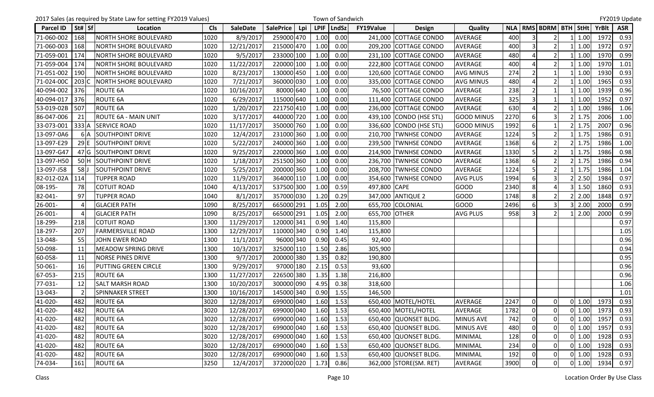|            |               | 2017 Sales (as required by State Law for setting FY2019 Values) |            |                 |                  |     |      | Town of Sandwich |               |                         |                   |      |                |                               |                    |              | FY2019 Update |
|------------|---------------|-----------------------------------------------------------------|------------|-----------------|------------------|-----|------|------------------|---------------|-------------------------|-------------------|------|----------------|-------------------------------|--------------------|--------------|---------------|
| Parcel ID  | St#   Sf      | Location                                                        | <b>Cls</b> | <b>SaleDate</b> | <b>SalePrice</b> | Lpi |      | LPIF   LndSz     | FY19Value     | <b>Design</b>           | Quality           |      |                | NLA   RMS   BDRM   BTH   StHt |                    | <b>YrBlt</b> | <b>ASR</b>    |
| 71-060-002 | 168           | <b>NORTH SHORE BOULEVARD</b>                                    | 1020       | 8/9/2017        | 259000 470       |     | 1.00 | 0.00             | 241,000       | <b>COTTAGE CONDO</b>    | AVERAGE           | 400  |                | $\overline{2}$                | 1.00               | 1972         | 0.93          |
| 71-060-003 | 168           | <b>NORTH SHORE BOULEVARD</b>                                    | 1020       | 12/21/2017      | 215000 470       |     | 1.00 | 0.00             |               | 209,200 COTTAGE CONDO   | AVERAGE           | 400  | $\overline{3}$ | $\overline{2}$                | 1.00               | 1972         | 0.97          |
| 71-059-001 | 174           | <b>NORTH SHORE BOULEVARD</b>                                    | 1020       | 9/5/2017        | 233000 100       |     | 1.00 | 0.00             |               | 231,100 COTTAGE CONDO   | <b>AVERAGE</b>    | 480  |                | $\overline{2}$                | 1.00               | 1970         | 0.99          |
| 71-059-004 | 174           | <b>NORTH SHORE BOULEVARD</b>                                    | 1020       | 11/22/2017      | 220000 100       |     | 1.00 | 0.00             |               | 222,800 COTTAGE CONDO   | AVERAGE           | 400  |                | $\overline{2}$                | 1.00               | 1970         | 1.01          |
| 71-051-002 | 190           | <b>NORTH SHORE BOULEVARD</b>                                    | 1020       | 8/23/2017       | 130000 450       |     | 1.00 | 0.00             | 120,600       | COTTAGE CONDO           | <b>AVG MINUS</b>  | 274  |                |                               | 1.00               | 1930         | 0.93          |
| 71-024-00C | $203$ C       | <b>NORTH SHORE BOULEVARD</b>                                    | 1020       | 7/21/2017       | 360000 030       |     | 1.00 | 0.00             |               | 335,000 COTTAGE CONDO   | <b>AVG MINUS</b>  | 480  |                | $\overline{2}$                | 1.00               | 1965         | 0.93          |
| 40-094-002 | 376           | <b>ROUTE 6A</b>                                                 | 1020       | 10/16/2017      | 80000 640        |     | 1.00 | 0.00             |               | 76,500 COTTAGE CONDO    | <b>AVERAGE</b>    | 238  |                |                               | 1.00               | 1939         | 0.96          |
| 40-094-017 | 376           | ROUTE 6A                                                        | 1020       | 6/29/2017       | 115000 640       |     | 1.00 | 0.00             | 111,400       | COTTAGE CONDO           | AVERAGE           | 325  |                |                               | 1.00               | 1952         | 0.97          |
| 53-019-02B | 507           | <b>ROUTE 6A</b>                                                 | 1020       | 1/20/2017       | 221750 410       |     | 1.00 | 0.00             | 236,000       | COTTAGE CONDO           | AVERAGE           | 630  |                | $\overline{2}$                | 1.00               | 1986         | 1.06          |
| 86-047-006 | 21            | <b>ROUTE 6A - MAIN UNIT</b>                                     | 1020       | 3/17/2017       | 440000 720       |     | 1.00 | 0.00             |               | 439,100 CONDO (HSE STL) | <b>GOOD MINUS</b> | 2270 | 6              | 3                             | 1.75               | 2006         | 1.00          |
| 33-073-001 | 333A          | <b>SERVICE ROAD</b>                                             | 1020       | 11/17/2017      | 350000 760       |     | 1.00 | 0.00             |               | 336,600 CONDO (HSE STL) | <b>GOOD MINUS</b> | 1992 | 6              |                               | 1.75               | 2007         | 0.96          |
| 13-097-0A6 | 6IA           | <b>SOUTHPOINT DRIVE</b>                                         | 1020       | 12/4/2017       | 231000 360       |     | 1.00 | 0.00             |               | 210,700 TWNHSE CONDO    | <b>AVERAGE</b>    | 1224 |                | $\overline{2}$                | 1.75               | 1986         | 0.91          |
| 13-097-E29 | 29 E          | <b>SOUTHPOINT DRIVE</b>                                         | 1020       | 5/22/2017       | 240000 360       |     | 1.00 | 0.00             |               | 239,500 TWNHSE CONDO    | <b>AVERAGE</b>    | 1368 | 6              | 2 <sub>l</sub>                | 1.75               | 1986         | 1.00          |
| 13-097-G47 | 47 G          | <b>SOUTHPOINT DRIVE</b>                                         | 1020       | 9/25/2017       | 220000 360       |     | 1.00 | 0.00             |               | 214,900 TWNHSE CONDO    | <b>AVERAGE</b>    | 1330 | 5              | $\overline{2}$                | 1.75               | 1986         | 0.98          |
| 13-097-H50 | 50 H          | <b>SOUTHPOINT DRIVE</b>                                         | 1020       | 1/18/2017       | 251500 360       |     | 1.00 | 0.00             | 236,700       | <b>TWNHSE CONDO</b>     | <b>AVERAGE</b>    | 1368 | 6              |                               | 1.75               | 1986         | 0.94          |
| 13-097-J58 | 58U           | <b>SOUTHPOINT DRIVE</b>                                         | 1020       | 5/25/2017       | 200000 360       |     | 1.00 | 0.00             | 208,700       | <b>TWNHSE CONDO</b>     | <b>AVERAGE</b>    | 1224 |                | $\overline{2}$                | 1.75               | 1986         | 1.04          |
| 82-012-02A | 114           | <b>TUPPER ROAD</b>                                              | 1020       | 11/9/2017       | 364000 110       |     | 1.00 | 0.00             | 354,600       | <b>TWNHSE CONDO</b>     | <b>AVG PLUS</b>   | 1994 | 6              | 3                             | 2.50               | 1984         | 0.97          |
| 08-195-    | 78            | <b>COTUIT ROAD</b>                                              | 1040       | 4/13/2017       | 537500 300       |     | 1.00 | 0.59             | 497,800 CAPE  |                         | <b>GOOD</b>       | 2340 | 8              | 4                             | 1.50               | 1860         | 0.93          |
| 82-041-    | 97            | <b>TUPPER ROAD</b>                                              | 1040       | 8/1/2017        | 357000 030       |     | 1.20 | 0.29             |               | 347,000 ANTIQUE 2       | <b>GOOD</b>       | 1748 | 8              | $\overline{2}$                | 2.00               | 1848         | 0.97          |
| 26-001-    |               | <b>GLACIER PATH</b>                                             | 1090       | 8/25/2017       | 665000 291       |     | 1.05 | 2.00             | 655,700       | COLONIAL                | <b>GOOD</b>       | 2496 | 6              | $\overline{3}$                | 2.00               | 2000         | 0.99          |
| 26-001-    |               | <b>GLACIER PATH</b>                                             | 1090       | 8/25/2017       | 665000 291       |     | 1.05 | 2.00             | 655,700 OTHER |                         | <b>AVG PLUS</b>   | 958  | 3              |                               | 2.00               | 2000         | 0.99          |
| 18-299-    | 218           | <b>COTUIT ROAD</b>                                              | 1300       | 11/29/2017      | 120000 341       |     | 0.90 | 1.40             | 115,800       |                         |                   |      |                |                               |                    |              | 0.97          |
| 18-297-    | 207           | <b>FARMERSVILLE ROAD</b>                                        | 1300       | 12/29/2017      | 110000 340       |     | 0.90 | 1.40             | 115,800       |                         |                   |      |                |                               |                    |              | 1.05          |
| 13-048-    | 55            | <b>JOHN EWER ROAD</b>                                           | 1300       | 11/1/2017       | 96000 340        |     | 0.90 | 0.45             | 92,400        |                         |                   |      |                |                               |                    |              | 0.96          |
| 50-098-    | 11            | <b>MEADOW SPRING DRIVE</b>                                      | 1300       | 10/3/2017       | 325000 110       |     | 1.50 | 2.86             | 305,900       |                         |                   |      |                |                               |                    |              | 0.94          |
| 60-058-    | 11            | <b>NORSE PINES DRIVE</b>                                        | 1300       | 9/7/2017        | 200000 380       |     | 1.35 | 0.82             | 190,800       |                         |                   |      |                |                               |                    |              | 0.95          |
| 50-061-    | 16            | PUTTING GREEN CIRCLE                                            | 1300       | 9/29/2017       | 97000 180        |     | 2.15 | 0.53             | 93,600        |                         |                   |      |                |                               |                    |              | 0.96          |
| 67-053-    | 215           | <b>ROUTE 6A</b>                                                 | 1300       | 11/27/2017      | 226500 380       |     | 1.35 | 1.38             | 216,800       |                         |                   |      |                |                               |                    |              | 0.96          |
| 77-031-    | 12            | <b>SALT MARSH ROAD</b>                                          | 1300       | 10/20/2017      | 300000 090       |     | 4.95 | 0.38             | 318,600       |                         |                   |      |                |                               |                    |              | 1.06          |
| 13-043-    | $\mathcal{P}$ | SPINNAKER STREET                                                | 1300       | 10/16/2017      | 145000 340       |     | 0.90 | 1.55             | 146,500       |                         |                   |      |                |                               |                    |              | 1.01          |
| 41-020-    | 482           | <b>ROUTE 6A</b>                                                 | 3020       | 12/28/2017      | 699000 040       |     | 1.60 | 1.53             |               | 650,400 MOTEL/HOTEL     | AVERAGE           | 2247 | 0l             | $\Omega$                      | $0 \mid 1.00 \mid$ | 1973         | 0.93          |
| 41-020-    | 482           | ROUTE 6A                                                        | 3020       | 12/28/2017      | 699000 040       |     | 1.60 | 1.53             |               | 650,400 MOTEL/HOTEL     | AVERAGE           | 1782 | $\Omega$       | $\overline{0}$                | $0 \mid 1.00$      | 1973         | 0.93          |
| 41-020-    | 482           | ROUTE 6A                                                        | 3020       | 12/28/2017      | 699000 040       |     | 1.60 | 1.53             |               | 650,400 QUONSET BLDG.   | <b>MINUS AVE</b>  | 742  | 0              | $\overline{0}$                | $0 \mid 1.00$      | 1957         | 0.93          |
| 41-020-    | 482           | ROUTE 6A                                                        | 3020       | 12/28/2017      | 699000 040       |     | 1.60 | 1.53             |               | 650,400 QUONSET BLDG.   | <b>MINUS AVE</b>  | 480  | $\overline{0}$ | $\overline{0}$                | $0$ 1.00           | 1957         | 0.93          |
| 41-020-    | 482           | ROUTE 6A                                                        | 3020       | 12/28/2017      | 699000 040       |     | 1.60 | 1.53             |               | 650,400 QUONSET BLDG.   | <b>MINIMAL</b>    | 128  | $\Omega$       | 0                             | $0 \quad 1.00$     | 1928         | 0.93          |
| 41-020-    | 482           | ROUTE 6A                                                        | 3020       | 12/28/2017      | 699000 040       |     | 1.60 | 1.53             |               | 650,400 QUONSET BLDG.   | <b>MINIMAL</b>    | 234  | $\Omega$       | $\overline{0}$                | $0$ 1.00           | 1928         | 0.93          |
| 41-020-    | 482           | ROUTE 6A                                                        | 3020       | 12/28/2017      | 699000 040       |     | 1.60 | 1.53             |               | 650,400 QUONSET BLDG.   | <b>MINIMAL</b>    | 192  | $\Omega$       | $\overline{0}$                | $0 \mid 1.00$      | 1928         | 0.93          |
| 74-034-    | 161           | ROUTE 6A                                                        | 3250       | 12/4/2017       | 372000 020       |     | 1.73 | 0.86             |               | 362,000 STORE(SM. RET)  | AVERAGE           | 3900 | 0              | $\overline{0}$                | $0 \mid 1.00$      | 1934         | 0.97          |